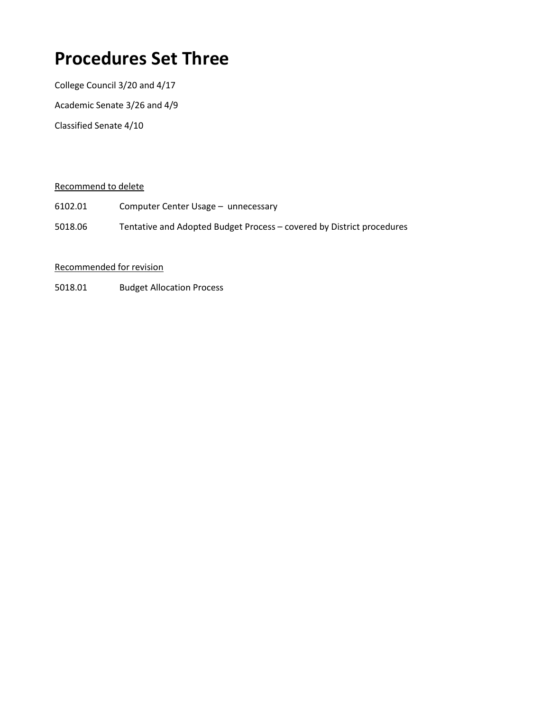# **Procedures Set Three**

College Council 3/20 and 4/17 Academic Senate 3/26 and 4/9 Classified Senate 4/10

#### Recommend to delete

- 6102.01 Computer Center Usage unnecessary
- 5018.06 Tentative and Adopted Budget Process covered by District procedures

#### Recommended for revision

5018.01 Budget Allocation Process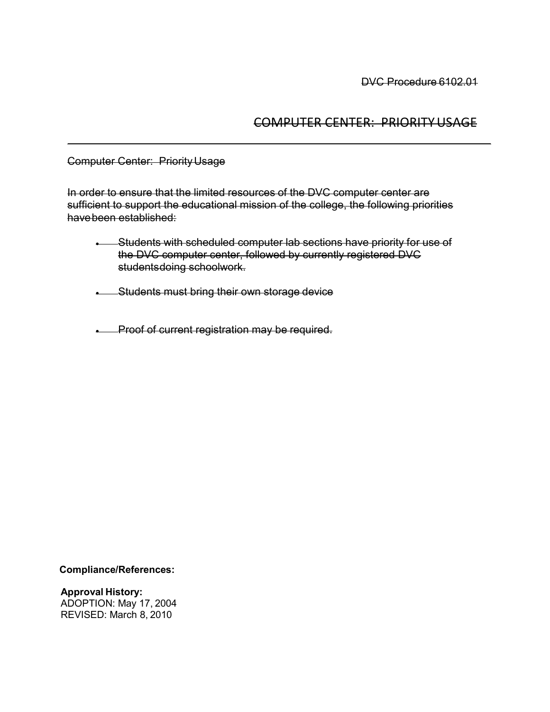# COMPUTER CENTER: PRIORITYUSAGE

Computer Center: PriorityUsage

In order to ensure that the limited resources of the DVC computer center are sufficient to support the educational mission of the college, the following priorities havebeen established:

• Students with scheduled computer lab sections have priority for use of the DVC computer center, followed by currently registered DVC studentsdoing schoolwork.

• Students must bring their own storage device

• Proof of current registration may be required.

**Compliance/References:** 

**Approval History:** ADOPTION: May 17, 2004 REVISED: March 8, 2010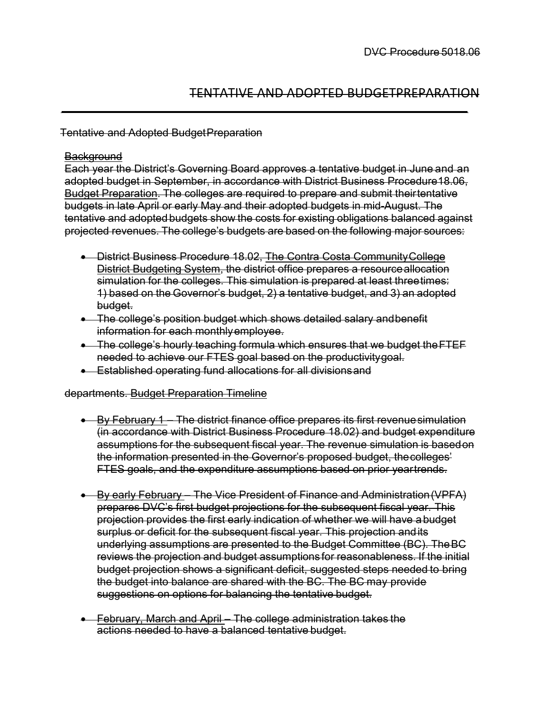## TENTATIVE AND ADOPTED BUDGETPREPARATION

#### Tentative and Adopted BudgetPreparation

#### **Background**

Each year the District's Governing Board approves a tentative budget in June and an adopted budget in September, in accordance with District Business Procedure18.06, Budget Preparation. The colleges are required to prepare and submit theirtentative budgets in late April or early May and their adopted budgets in mid-August. The tentative and adopted budgets show the costs for existing obligations balanced against projected revenues. The college's budgets are based on the following major sources:

- District Business Procedure 18.02, The Contra Costa Community College District Budgeting System, the district office prepares a resourceallocation simulation for the colleges. This simulation is prepared at least threetimes: 1) based on the Governor's budget, 2) a tentative budget, and 3) an adopted budget.
- The college's position budget which shows detailed salary and benefit information for each monthlyemployee.
- The college's hourly teaching formula which ensures that we budget theFTEF needed to achieve our FTES goal based on the productivitygoal.
- Established operating fund allocations for all divisionsand

#### departments. Budget Preparation Timeline

- By February 1 The district finance office prepares its first revenue simulation (in accordance with District Business Procedure 18.02) and budget expenditure assumptions for the subsequent fiscal year. The revenue simulation is basedon the information presented in the Governor's proposed budget, thecolleges' FTES goals, and the expenditure assumptions based on prior yeartrends.
- By early February The Vice President of Finance and Administration(VPFA) prepares DVC's first budget projections for the subsequent fiscal year. This projection provides the first early indication of whether we will have abudget surplus or deficit for the subsequent fiscal year. This projection andits underlying assumptions are presented to the Budget Committee (BC). TheBC reviews the projection and budget assumptions for reasonableness. If the initial budget projection shows a significant deficit, suggested steps needed to bring the budget into balance are shared with the BC. The BC may provide suggestions on options for balancing the tentative budget.
- February, March and April The college administration takes the actions needed to have a balanced tentative budget.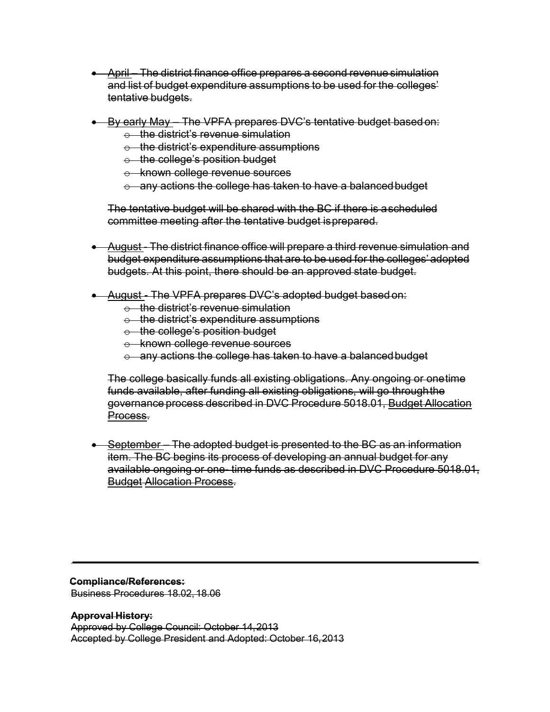- April The district finance office prepares a second revenue simulation and list of budget expenditure assumptions to be used for the colleges' tentative budgets.
- By early May The VPFA prepares DVC's tentative budget based on:
	- $\div$  the district's revenue simulation
	- $\theta$  the district's expenditure assumptions
	- $\theta$  the college's position budget
	- o known college revenue sources
	- $\circ$  any actions the college has taken to have a balanced budget

The tentative budget will be shared with the BC if there is ascheduled committee meeting after the tentative budget isprepared.

- August The district finance office will prepare a third revenue simulation and budget expenditure assumptions that are to be used for the colleges' adopted budgets. At this point, there should be an approved state budget.
- August The VPFA prepares DVC's adopted budget based on:
	- $\div$  the district's revenue simulation
	- $\theta$  the district's expenditure assumptions
	- o the college's position budget
	- o known college revenue sources
	- $\circ$  any actions the college has taken to have a balanced budget

The college basically funds all existing obligations. Any ongoing or onetime funds available, after funding all existing obligations, will go throughthe governance process described in DVC Procedure 5018.01, Budget Allocation Process.

• September – The adopted budget is presented to the BC as an information item. The BC begins its process of developing an annual budget for any available ongoing or one- time funds as described in DVC Procedure 5018.01, Budget Allocation Process.

**Compliance/References:** Business Procedures 18.02, 18.06

**Approval History:** Approved by College Council: October 14,2013 Accepted by College President and Adopted: October 16,2013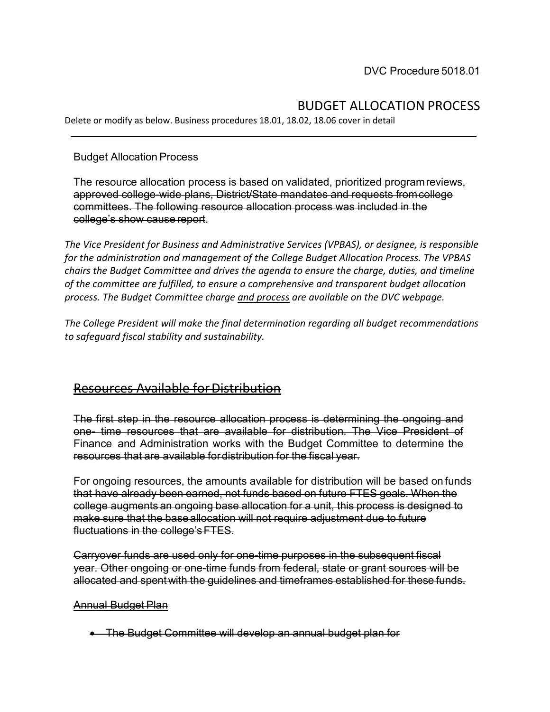# BUDGET ALLOCATION PROCESS

Delete or modify as below. Business procedures 18.01, 18.02, 18.06 cover in detail

Budget Allocation Process

The resource allocation process is based on validated, prioritized programreviews, approved college-wide plans, District/State mandates and requests fromcollege committees. The following resource allocation process was included in the college's show cause report.

*The Vice President for Business and Administrative Services (VPBAS), or designee, is responsible for the administration and management of the College Budget Allocation Process. The VPBAS chairs the Budget Committee and drives the agenda to ensure the charge, duties, and timeline of the committee are fulfilled, to ensure a comprehensive and transparent budget allocation process. The Budget Committee charge and process are available on the DVC webpage.*

*The College President will make the final determination regarding all budget recommendations to safeguard fiscal stability and sustainability.* 

# **Resources Available for Distribution**

The first step in the resource allocation process is determining the ongoing and one- time resources that are available for distribution. The Vice President of Finance and Administration works with the Budget Committee to determine the resources that are available fordistribution for the fiscal year.

For ongoing resources, the amounts available for distribution will be based on funds that have already been earned, not funds based on future FTES goals. When the college augments an ongoing base allocation for a unit, this process is designed to make sure that the base allocation will not require adjustment due to future fluctuations in the college'sFTES.

Carryover funds are used only for one-time purposes in the subsequent fiscal year. Other ongoing or one-time funds from federal, state or grant sources will be allocated and spentwith the guidelines and timeframes established for these funds.

#### Annual Budget Plan

• The Budget Committee will develop an annual budget plan for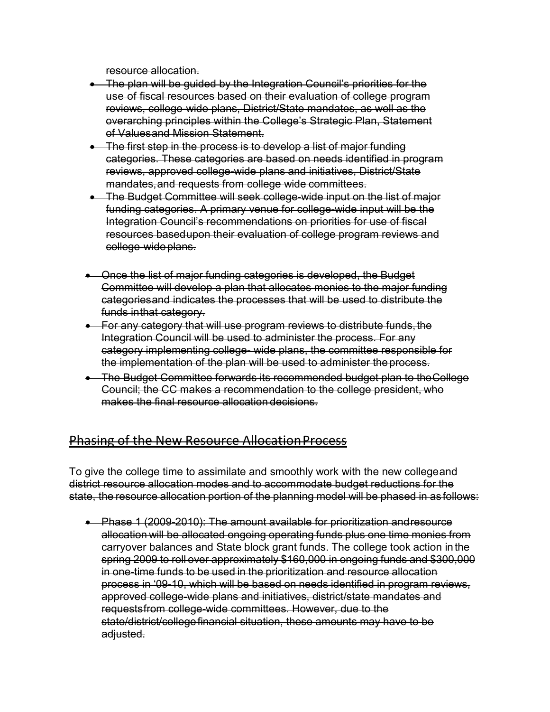resource allocation.

- The plan will be guided by the Integration Council's priorities for the use of fiscal resources based on their evaluation of college program reviews, college-wide plans, District/State mandates, as well as the overarching principles within the College's Strategic Plan, Statement of Valuesand Mission Statement.
- The first step in the process is to develop a list of major funding categories. These categories are based on needs identified in program reviews, approved college-wide plans and initiatives, District/State mandates,and requests from college wide committees.
- The Budget Committee will seek college-wide input on the list of major funding categories. A primary venue for college-wide input will be the Integration Council's recommendations on priorities for use of fiscal resources basedupon their evaluation of college program reviews and college-wideplans.
- Once the list of major funding categories is developed, the Budget Committee will develop a plan that allocates monies to the major funding categoriesand indicates the processes that will be used to distribute the funds inthat category.
- For any category that will use program reviews to distribute funds, the Integration Council will be used to administer the process. For any category implementing college- wide plans, the committee responsible for the implementation of the plan will be used to administer theprocess.
- The Budget Committee forwards its recommended budget plan to theCollege Council; the CC makes a recommendation to the college president, who makes the final resource allocation decisions.

# Phasing of the New Resource AllocationProcess

To give the college time to assimilate and smoothly work with the new collegeand district resource allocation modes and to accommodate budget reductions for the state, the resource allocation portion of the planning model will be phased in as follows:

• Phase 1 (2009-2010): The amount available for prioritization and resource allocation will be allocated ongoing operating funds plus one time monies from carryover balances and State block grant funds. The college took action inthe spring 2009 to roll over approximately \$160,000 in ongoing funds and \$300,000 in one-time funds to be used in the prioritization and resource allocation process in '09-10, which will be based on needs identified in program reviews, approved college-wide plans and initiatives, district/state mandates and requestsfrom college-wide committees. However, due to the state/district/collegefinancial situation, these amounts may have to be adjusted.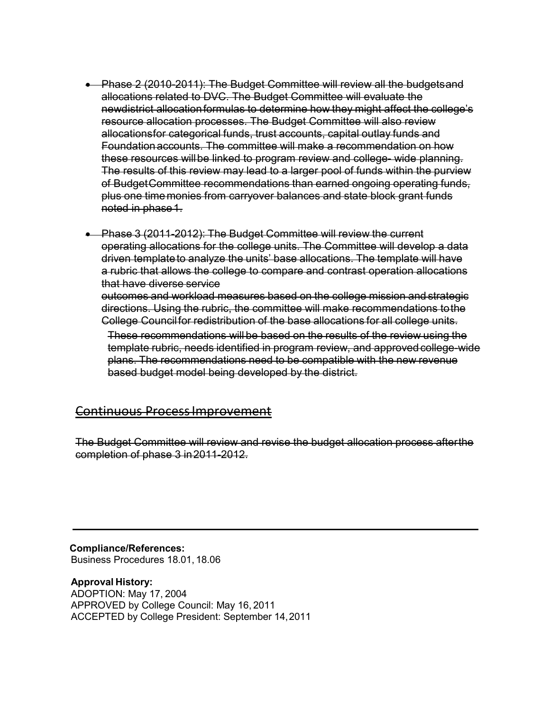- Phase 2 (2010-2011): The Budget Committee will review all the budgetsand allocations related to DVC. The Budget Committee will evaluate the newdistrict allocation formulas to determine how they might affect the college's resource allocation processes. The Budget Committee will also review allocationsfor categorical funds, trust accounts, capital outlay funds and Foundationaccounts. The committee will make a recommendation on how these resources willbe linked to program review and college- wide planning. The results of this review may lead to a larger pool of funds within the purview of BudgetCommittee recommendations than earned ongoing operating funds, plus one timemonies from carryover balances and state block grant funds noted in phase1.
- Phase 3 (2011-2012): The Budget Committee will review the current operating allocations for the college units. The Committee will develop a data driven templateto analyze the units' base allocations. The template will have a rubric that allows the college to compare and contrast operation allocations that have diverse service outcomes and workload measures based on the college mission and strategic

directions. Using the rubric, the committee will make recommendations tothe College Councilfor redistribution of the base allocations for all college units.

These recommendations will be based on the results of the review using the template rubric, needs identified in program review, and approvedcollege-wide plans. The recommendations need to be compatible with the new revenue based budget model being developed by the district.

#### Continuous ProcessImprovement

The Budget Committee will review and revise the budget allocation process afterthe completion of phase 3 in2011-2012.

**Compliance/References:** Business Procedures 18.01, 18.06

**Approval History:** ADOPTION: May 17, 2004 APPROVED by College Council: May 16, 2011 ACCEPTED by College President: September 14,2011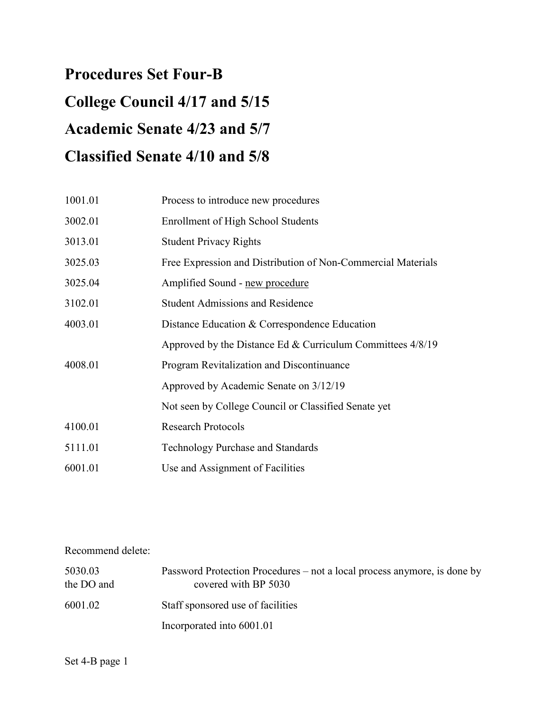# **Procedures Set Four-B College Council 4/17 and 5/15 Academic Senate 4/23 and 5/7 Classified Senate 4/10 and 5/8**

| 1001.01 | Process to introduce new procedures                          |
|---------|--------------------------------------------------------------|
| 3002.01 | <b>Enrollment of High School Students</b>                    |
| 3013.01 | <b>Student Privacy Rights</b>                                |
| 3025.03 | Free Expression and Distribution of Non-Commercial Materials |
| 3025.04 | Amplified Sound - new procedure                              |
| 3102.01 | <b>Student Admissions and Residence</b>                      |
| 4003.01 | Distance Education & Correspondence Education                |
|         | Approved by the Distance Ed & Curriculum Committees $4/8/19$ |
| 4008.01 | Program Revitalization and Discontinuance                    |
|         | Approved by Academic Senate on 3/12/19                       |
|         | Not seen by College Council or Classified Senate yet         |
| 4100.01 | <b>Research Protocols</b>                                    |
| 5111.01 | <b>Technology Purchase and Standards</b>                     |
| 6001.01 | Use and Assignment of Facilities                             |

## Recommend delete:

| 5030.03<br>the DO and | Password Protection Procedures – not a local process anymore, is done by<br>covered with BP 5030 |
|-----------------------|--------------------------------------------------------------------------------------------------|
| 6001.02               | Staff sponsored use of facilities                                                                |
|                       | Incorporated into 6001.01                                                                        |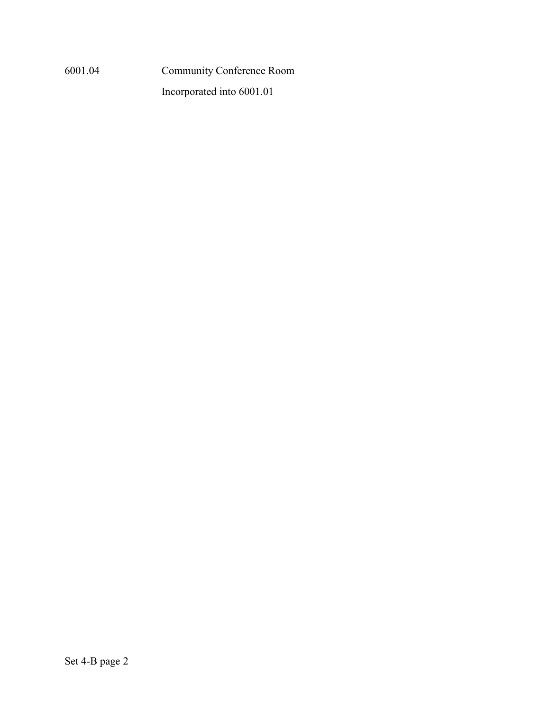6001.04 Community Conference Room

Incorporated into 6001.01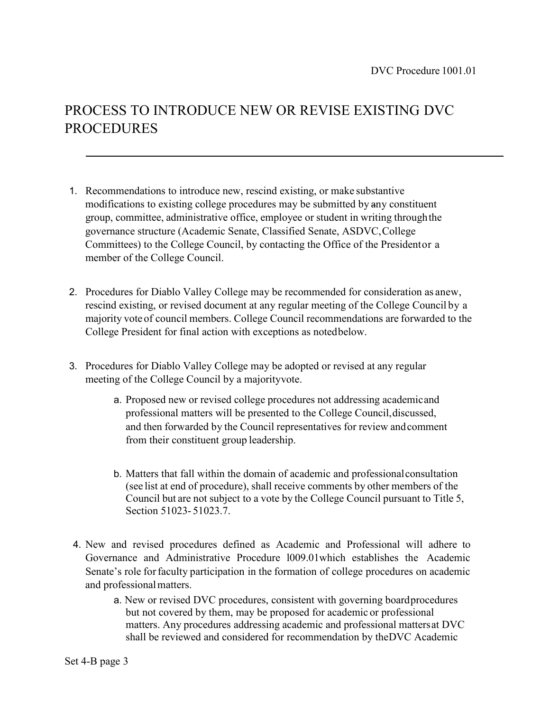# PROCESS TO INTRODUCE NEW OR REVISE EXISTING DVC PROCEDURES

- 1. Recommendations to introduce new, rescind existing, or make substantive modifications to existing college procedures may be submitted by any constituent group, committee, administrative office, employee or student in writing throughthe governance structure (Academic Senate, Classified Senate, ASDVC,College Committees) to the College Council, by contacting the Office of the Presidentor a member of the College Council.
- 2. Procedures for Diablo Valley College may be recommended for consideration as anew, rescind existing, or revised document at any regular meeting of the College Council by a majority vote of council members. College Council recommendations are forwarded to the College President for final action with exceptions as notedbelow.
- 3. Procedures for Diablo Valley College may be adopted or revised at any regular meeting of the College Council by a majorityvote.
	- a. Proposed new or revised college procedures not addressing academicand professional matters will be presented to the College Council,discussed, and then forwarded by the Council representatives for review andcomment from their constituent group leadership.
	- b. Matters that fall within the domain of academic and professionalconsultation (see list at end of procedure), shall receive comments by other members of the Council but are not subject to a vote by the College Council pursuant to Title 5, Section 51023- 51023.7.
- 4. New and revised procedures defined as Academic and Professional will adhere to Governance and Administrative Procedure l009.01which establishes the Academic Senate's role forfaculty participation in the formation of college procedures on academic and professionalmatters.
	- a. New or revised DVC procedures, consistent with governing boardprocedures but not covered by them, may be proposed for academic or professional matters. Any procedures addressing academic and professional mattersat DVC shall be reviewed and considered for recommendation by theDVC Academic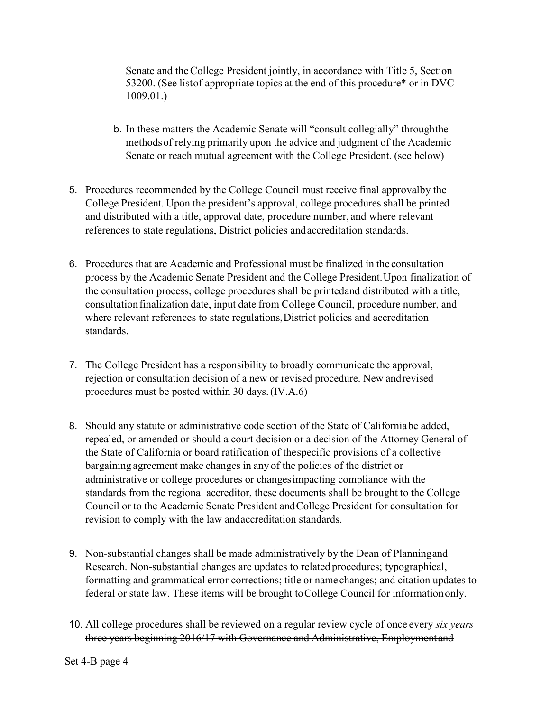Senate and theCollege President jointly, in accordance with Title 5, Section 53200. (See listof appropriate topics at the end of this procedure\* or in DVC 1009.01.)

- b. In these matters the Academic Senate will "consult collegially" throughthe methodsof relying primarily upon the advice and judgment of the Academic Senate or reach mutual agreement with the College President. (see below)
- 5. Procedures recommended by the College Council must receive final approvalby the College President. Upon the president's approval, college procedures shall be printed and distributed with a title, approval date, procedure number, and where relevant references to state regulations, District policies andaccreditation standards.
- 6. Procedures that are Academic and Professional must be finalized in the consultation process by the Academic Senate President and the College President.Upon finalization of the consultation process, college procedures shall be printedand distributed with a title, consultation finalization date, input date from College Council, procedure number, and where relevant references to state regulations,District policies and accreditation standards.
- 7. The College President has a responsibility to broadly communicate the approval, rejection or consultation decision of a new or revised procedure. New andrevised procedures must be posted within 30 days.(IV.A.6)
- 8. Should any statute or administrative code section of the State of Californiabe added, repealed, or amended or should a court decision or a decision of the Attorney General of the State of California or board ratification of thespecific provisions of a collective bargaining agreement make changes in any of the policies of the district or administrative or college procedures or changesimpacting compliance with the standards from the regional accreditor, these documents shall be brought to the College Council or to the Academic Senate President andCollege President for consultation for revision to comply with the law andaccreditation standards.
- 9. Non-substantial changes shall be made administratively by the Dean of Planningand Research. Non-substantial changes are updates to related procedures; typographical, formatting and grammatical error corrections; title or name changes; and citation updates to federal or state law. These items will be brought toCollege Council for informationonly.
- 10. All college procedures shall be reviewed on a regular review cycle of once every *six years*  three years beginning 2016/17 with Governance and Administrative, Employmentand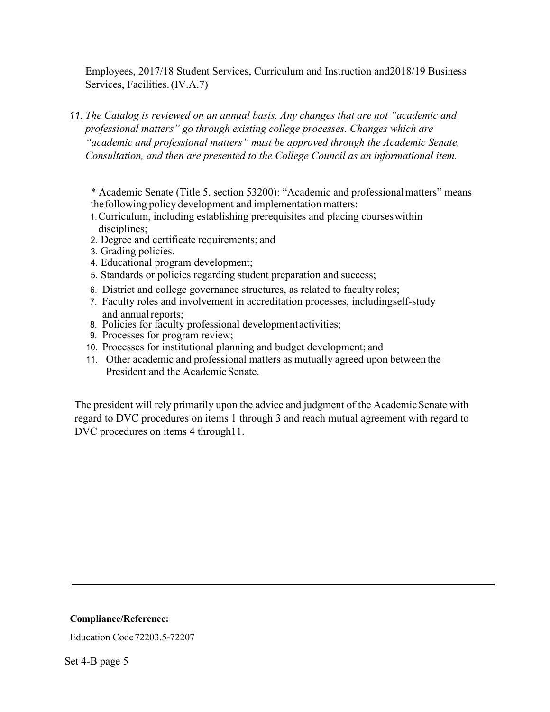Employees, 2017/18 Student Services, Curriculum and Instruction and2018/19 Business Services, Facilities.(IV.A.7)

- *11. The Catalog is reviewed on an annual basis. Any changes that are not "academic and professional matters" go through existing college processes. Changes which are "academic and professional matters" must be approved through the Academic Senate, Consultation, and then are presented to the College Council as an informational item.* 
	- \* Academic Senate (Title 5, section 53200): "Academic and professionalmatters" means thefollowing policy development and implementation matters:
	- 1.Curriculum, including establishing prerequisites and placing courseswithin disciplines;
	- 2. Degree and certificate requirements; and
	- 3. Grading policies.
	- 4. Educational program development;
	- 5. Standards or policies regarding student preparation and success;
	- 6. District and college governance structures, as related to faculty roles;
	- 7. Faculty roles and involvement in accreditation processes, includingself-study and annual reports;
	- 8. Policies for faculty professional developmentactivities;
	- 9. Processes for program review;
	- 10. Processes for institutional planning and budget development; and
	- 11. Other academic and professional matters as mutually agreed upon between the President and the Academic Senate.

The president will rely primarily upon the advice and judgment of the Academic Senate with regard to DVC procedures on items 1 through 3 and reach mutual agreement with regard to DVC procedures on items 4 through 11.

#### **Compliance/Reference:**

Education Code72203.5-72207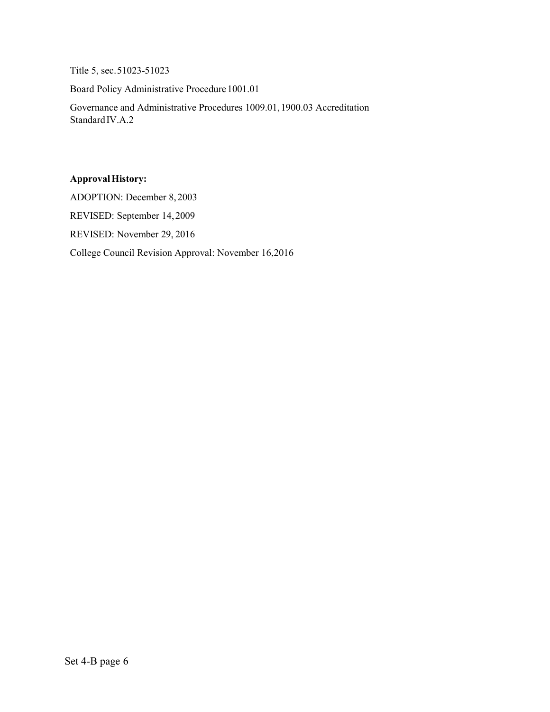Title 5, sec.51023-51023

Board Policy Administrative Procedure1001.01

Governance and Administrative Procedures 1009.01,1900.03 Accreditation StandardIV.A.2

#### **ApprovalHistory:**

ADOPTION: December 8,2003

REVISED: September 14,2009

REVISED: November 29, 2016

College Council Revision Approval: November 16,2016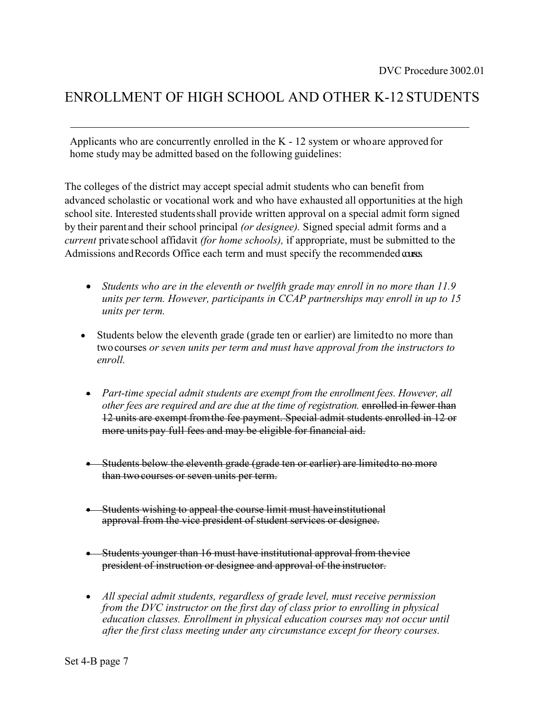# ENROLLMENT OF HIGH SCHOOL AND OTHER K-12 STUDENTS

Applicants who are concurrently enrolled in the K - 12 system or whoare approved for home study may be admitted based on the following guidelines:

The colleges of the district may accept special admit students who can benefit from advanced scholastic or vocational work and who have exhausted all opportunities at the high school site. Interested studentsshall provide written approval on a special admit form signed by their parent and their school principal *(or designee).* Signed special admit forms and a *current* private school affidavit *(for home schools),* if appropriate, must be submitted to the Admissions and Records Office each term and must specify the recommended courses.

- *Students who are in the eleventh or twelfth grade may enroll in no more than 11.9 units per term. However, participants in CCAP partnerships may enroll in up to 15 units per term.*
- Students below the eleventh grade (grade ten or earlier) are limited to no more than twocourses *or seven units per term and must have approval from the instructors to enroll.*
- *Part-time special admit students are exempt from the enrollment fees. However, all other fees are required and are due at the time of registration.* enrolled in fewer than 12 units are exempt fromthe fee payment. Special admit students enrolled in 12 or more units pay full fees and may be eligible for financial aid.
- Students below the eleventh grade (grade ten or earlier) are limitedto no more than twocourses or seven units per term.
- Students wishing to appeal the course limit must have institutional approval from the vice president of student services or designee.
- Students younger than 16 must have institutional approval from thevice president of instruction or designee and approval of the instructor.
- *All special admit students, regardless of grade level, must receive permission from the DVC instructor on the first day of class prior to enrolling in physical education classes. Enrollment in physical education courses may not occur until after the first class meeting under any circumstance except for theory courses.*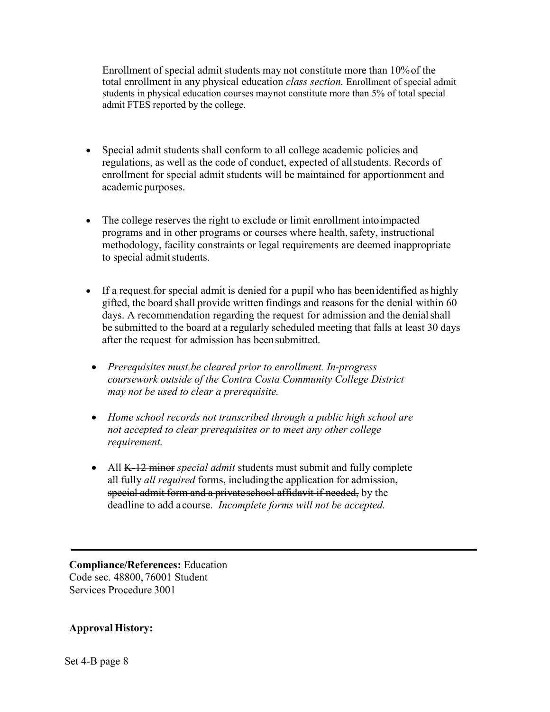Enrollment of special admit students may not constitute more than 10%of the total enrollment in any physical education *class section.* Enrollment of special admit students in physical education courses may not constitute more than 5% of total special admit FTES reported by the college.

- Special admit students shall conform to all college academic policies and regulations, as well as the code of conduct, expected of allstudents. Records of enrollment for special admit students will be maintained for apportionment and academic purposes.
- The college reserves the right to exclude or limit enrollment intoimpacted programs and in other programs or courses where health, safety, instructional methodology, facility constraints or legal requirements are deemed inappropriate to special admit students.
- If a request for special admit is denied for a pupil who has been identified as highly gifted, the board shall provide written findings and reasonsfor the denial within 60 days. A recommendation regarding the request for admission and the denial shall be submitted to the board at a regularly scheduled meeting that falls at least 30 days after the request for admission has beensubmitted.
	- *Prerequisites must be cleared prior to enrollment. In-progress coursework outside of the Contra Costa Community College District may not be used to clear a prerequisite.*
- *Home school records not transcribed through a public high school are not accepted to clear prerequisites or to meet any other college requirement.*
- All K-12 minor *special admit* students must submit and fully complete all fully *all required* forms, including the application for admission, special admit form and a privateschool affidavit if needed, by the deadline to add a course. *Incomplete forms will not be accepted.*

**Compliance/References:** Education Code sec. 48800, 76001 Student Services Procedure 3001

#### **Approval History:**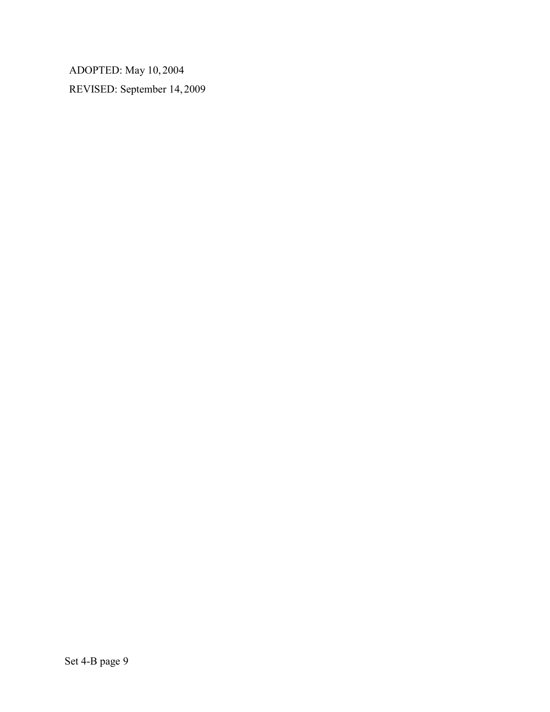ADOPTED: May 10, 2004 REVISED: September 14, 2009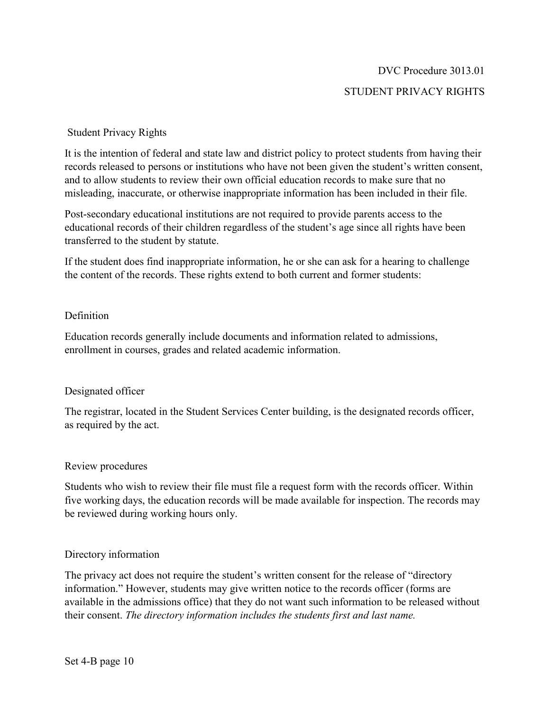# DVC Procedure 3013.01 STUDENT PRIVACY RIGHTS

#### Student Privacy Rights

It is the intention of federal and state law and district policy to protect students from having their records released to persons or institutions who have not been given the student's written consent, and to allow students to review their own official education records to make sure that no misleading, inaccurate, or otherwise inappropriate information has been included in their file.

Post-secondary educational institutions are not required to provide parents access to the educational records of their children regardless of the student's age since all rights have been transferred to the student by statute.

If the student does find inappropriate information, he or she can ask for a hearing to challenge the content of the records. These rights extend to both current and former students:

#### Definition

Education records generally include documents and information related to admissions, enrollment in courses, grades and related academic information.

#### Designated officer

The registrar, located in the Student Services Center building, is the designated records officer, as required by the act.

#### Review procedures

Students who wish to review their file must file a request form with the records officer. Within five working days, the education records will be made available for inspection. The records may be reviewed during working hours only.

#### Directory information

The privacy act does not require the student's written consent for the release of "directory information." However, students may give written notice to the records officer (forms are available in the admissions office) that they do not want such information to be released without their consent. *The directory information includes the students first and last name.*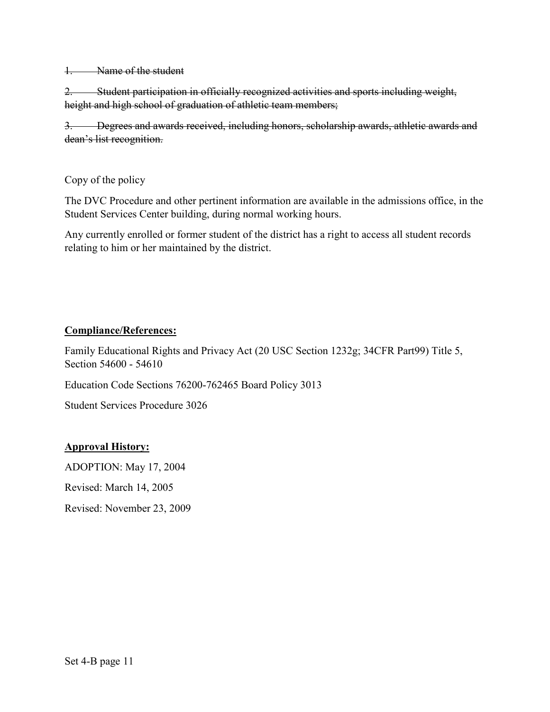1. Name of the student

2. Student participation in officially recognized activities and sports including weight, height and high school of graduation of athletic team members;

3. Degrees and awards received, including honors, scholarship awards, athletic awards and dean's list recognition.

#### Copy of the policy

The DVC Procedure and other pertinent information are available in the admissions office, in the Student Services Center building, during normal working hours.

Any currently enrolled or former student of the district has a right to access all student records relating to him or her maintained by the district.

#### **Compliance/References:**

Family Educational Rights and Privacy Act (20 USC Section 1232g; 34CFR Part99) Title 5, Section 54600 - 54610

Education Code Sections 76200-762465 Board Policy 3013

Student Services Procedure 3026

#### **Approval History:**

ADOPTION: May 17, 2004

Revised: March 14, 2005

Revised: November 23, 2009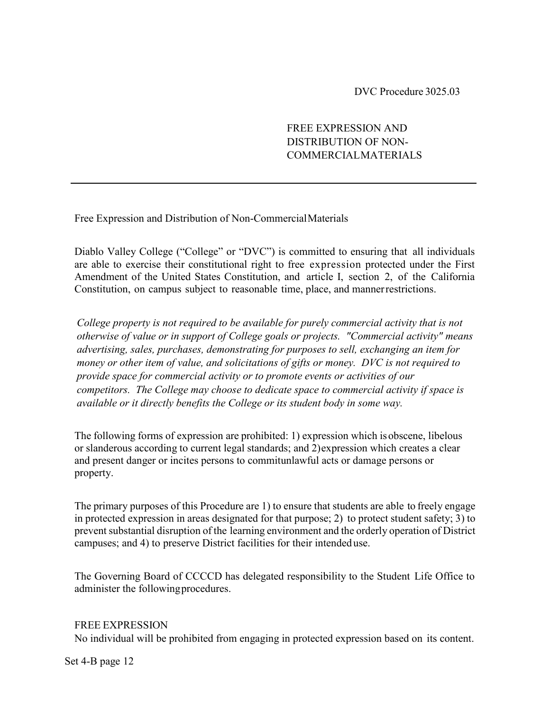DVC Procedure 3025.03

#### FREE EXPRESSION AND DISTRIBUTION OF NON-COMMERCIALMATERIALS

Free Expression and Distribution of Non-CommercialMaterials

Diablo Valley College ("College" or "DVC") is committed to ensuring that all individuals are able to exercise their constitutional right to free expression protected under the First Amendment of the United States Constitution, and article I, section 2, of the California Constitution, on campus subject to reasonable time, place, and mannerrestrictions.

*College property is not required to be available for purely commercial activity that is not otherwise of value or in support of College goals or projects. "Commercial activity" means advertising, sales, purchases, demonstrating for purposes to sell, exchanging an item for money or other item of value, and solicitations of gifts or money. DVC is not required to provide space for commercial activity or to promote events or activities of our competitors. The College may choose to dedicate space to commercial activity if space is available or it directly benefits the College or its student body in some way.* 

The following forms of expression are prohibited: 1) expression which isobscene, libelous or slanderous according to current legal standards; and 2)expression which creates a clear and present danger or incites persons to commitunlawful acts or damage persons or property.

The primary purposes of this Procedure are 1) to ensure that students are able to freely engage in protected expression in areas designated for that purpose; 2) to protect student safety; 3) to prevent substantial disruption of the learning environment and the orderly operation of District campuses; and 4) to preserve District facilities for their intended use.

The Governing Board of CCCCD has delegated responsibility to the Student Life Office to administer the followingprocedures.

#### FREE EXPRESSION

No individual will be prohibited from engaging in protected expression based on its content.

Set 4-B page 12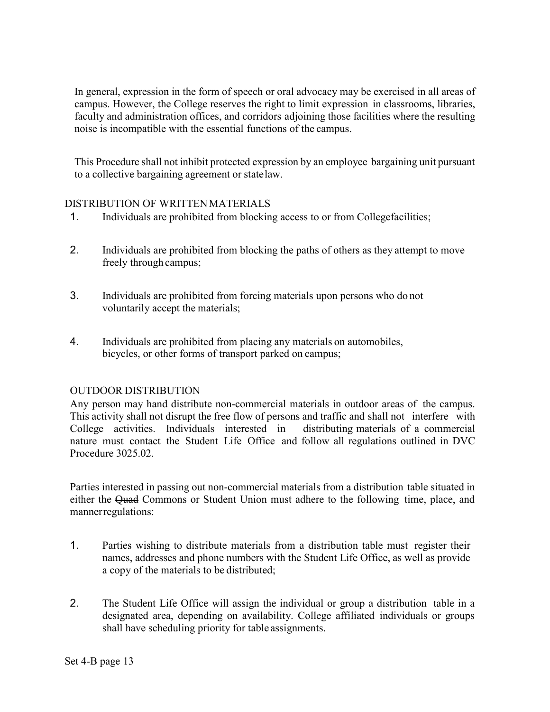In general, expression in the form of speech or oral advocacy may be exercised in all areas of campus. However, the College reserves the right to limit expression in classrooms, libraries, faculty and administration offices, and corridors adjoining those facilities where the resulting noise is incompatible with the essential functions of the campus.

This Procedure shall not inhibit protected expression by an employee bargaining unit pursuant to a collective bargaining agreement or statelaw.

#### DISTRIBUTION OF WRITTENMATERIALS

- 1. Individuals are prohibited from blocking access to or from Collegefacilities;
- 2. Individuals are prohibited from blocking the paths of others as they attempt to move freely through campus;
- 3. Individuals are prohibited from forcing materials upon persons who do not voluntarily accept the materials;
- 4. Individuals are prohibited from placing any materials on automobiles, bicycles, or other forms of transport parked on campus;

#### OUTDOOR DISTRIBUTION

Any person may hand distribute non-commercial materials in outdoor areas of the campus. This activity shall not disrupt the free flow of persons and traffic and shall not interfere with College activities. Individuals interested in distributing materials of a commercial nature must contact the Student Life Office and follow all regulations outlined in DVC Procedure 3025.02.

Parties interested in passing out non-commercial materials from a distribution table situated in either the Quad Commons or Student Union must adhere to the following time, place, and mannerregulations:

- 1. Parties wishing to distribute materials from a distribution table must register their names, addresses and phone numbers with the Student Life Office, as well as provide a copy of the materials to be distributed;
- 2. The Student Life Office will assign the individual or group a distribution table in a designated area, depending on availability. College affiliated individuals or groups shall have scheduling priority for table assignments.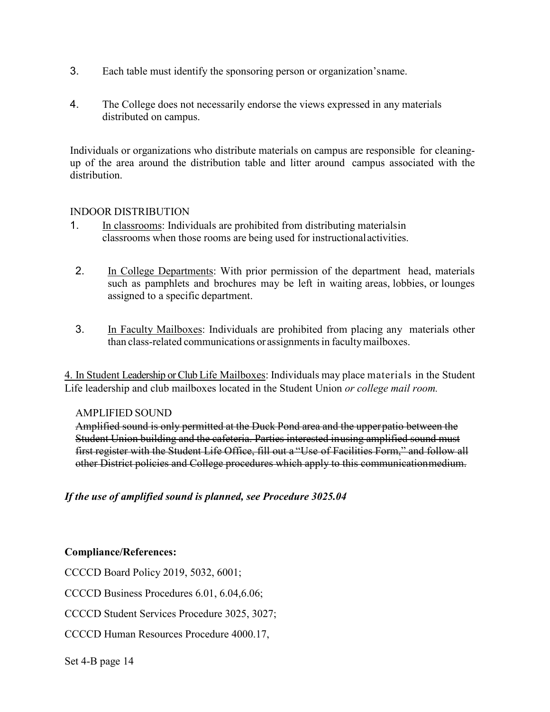- 3. Each table must identify the sponsoring person or organization'sname.
- 4. The College does not necessarily endorse the views expressed in any materials distributed on campus.

Individuals or organizations who distribute materials on campus are responsible for cleaningup of the area around the distribution table and litter around campus associated with the distribution.

#### INDOOR DISTRIBUTION

- 1. In classrooms: Individuals are prohibited from distributing materialsin classrooms when those rooms are being used for instructionalactivities.
- 2. In College Departments: With prior permission of the department head, materials such as pamphlets and brochures may be left in waiting areas, lobbies, or lounges assigned to a specific department.
- 3. In Faculty Mailboxes: Individuals are prohibited from placing any materials other than class-related communications or assignments in faculty mailboxes.

4. In Student Leadership or Club Life Mailboxes: Individuals may place materials in the Student Life leadership and club mailboxes located in the Student Union *or college mail room.*

#### AMPLIFIED SOUND

Amplified sound is only permitted at the Duck Pond area and the upperpatio between the Student Union building and the cafeteria. Parties interested inusing amplified sound must first register with the Student Life Office, fill out a "Use of Facilities Form," and follow all other District policies and College procedures which apply to this communicationmedium.

*If the use of amplified sound is planned, see Procedure 3025.04*

#### **Compliance/References:**

CCCCD Board Policy 2019, 5032, 6001;

CCCCD Business Procedures 6.01, 6.04,6.06;

CCCCD Student Services Procedure 3025, 3027;

CCCCD Human Resources Procedure 4000.17,

Set 4-B page 14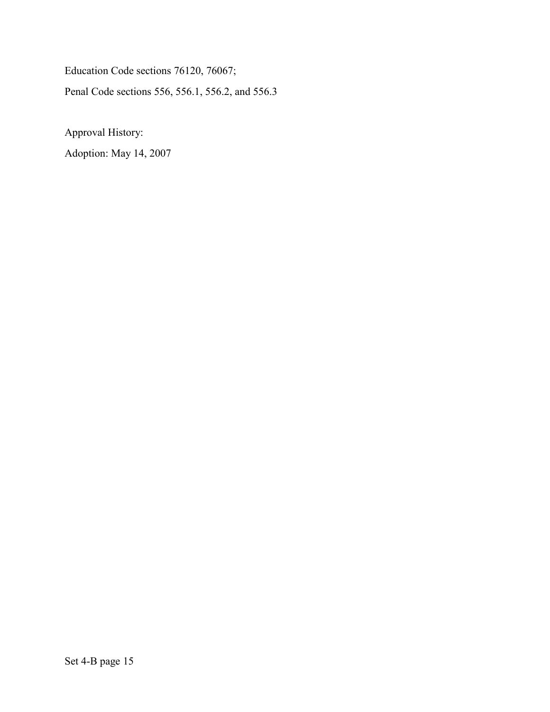Education Code sections 76120, 76067; Penal Code sections 556, 556.1, 556.2, and 556.3

Approval History:

Adoption: May 14, 2007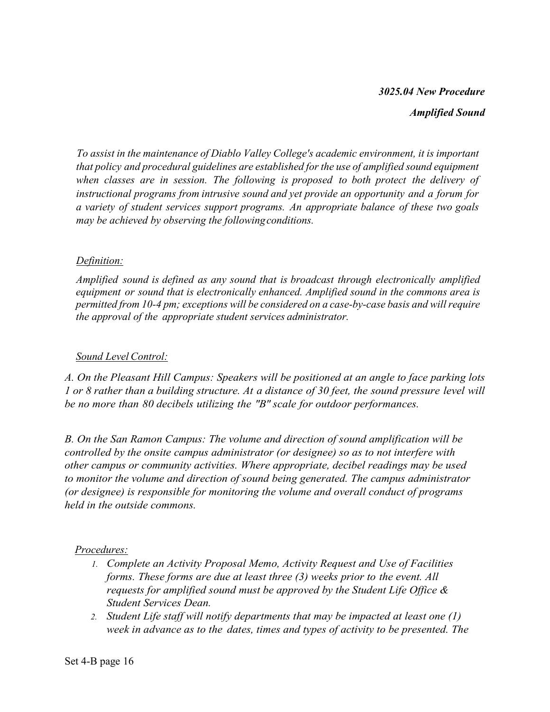## *3025.04 New Procedure*

*Amplified Sound*

*To assist in the maintenance of Diablo Valley College's academic environment, it is important that policy and procedural guidelines are established for the use of amplified sound equipment when classes are in session. The following is proposed to both protect the delivery of instructional programs from intrusive sound and yet provide an opportunity and a forum for a variety of student services support programs. An appropriate balance of these two goals may be achieved by observing the followingconditions.*

## *Definition:*

*Amplified sound is defined as any sound that is broadcast through electronically amplified equipment or sound that is electronically enhanced. Amplified sound in the commons area is permitted from 10-4 pm; exceptions will be considered on a case-by-case basis and will require the approval of the appropriate student services administrator.*

#### *Sound Level Control:*

*A. On the Pleasant Hill Campus: Speakers will be positioned at an angle to face parking lots 1 or 8 rather than a building structure. At a distance of 30 feet, the sound pressure level will be no more than 80 decibels utilizing the "B" scale for outdoor performances.*

*B. On the San Ramon Campus: The volume and direction of sound amplification will be controlled by the onsite campus administrator (or designee) so as to not interfere with other campus or community activities. Where appropriate, decibel readings may be used to monitor the volume and direction of sound being generated. The campus administrator (or designee) is responsible for monitoring the volume and overall conduct of programs held in the outside commons.*

## *Procedures:*

- *1. Complete an Activity Proposal Memo, Activity Request and Use of Facilities forms. These forms are due at least three (3) weeks prior to the event. All requests for amplified sound must be approved by the Student Life Office & Student Services Dean.*
- *2. Student Life staff will notify departments that may be impacted at least one (1) week in advance as to the dates, times and types of activity to be presented. The*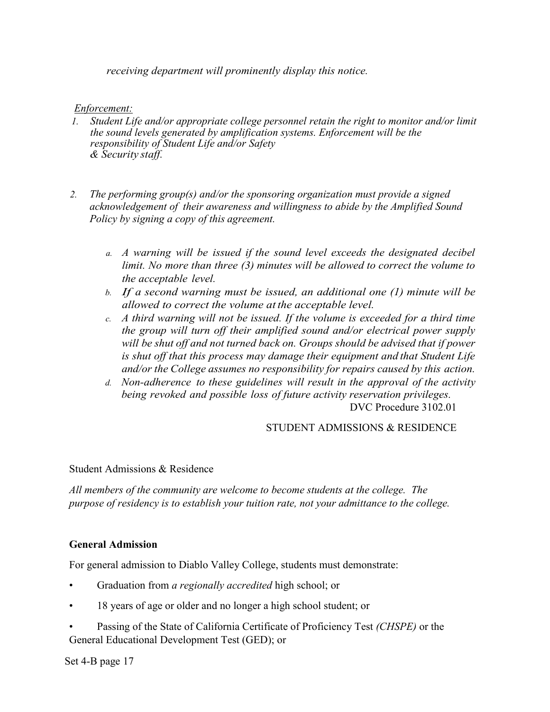*receiving department will prominently display this notice.*

#### *Enforcement:*

- *1. Student Life and/or appropriate college personnel retain the right to monitor and/or limit the sound levels generated by amplification systems. Enforcement will be the responsibility of Student Life and/or Safety & Security staff.*
- *2. The performing group(s) and/or the sponsoring organization must provide a signed acknowledgement of their awareness and willingness to abide by the Amplified Sound Policy by signing a copy of this agreement.*
	- *a. A warning will be issued if the sound level exceeds the designated decibel limit. No more than three (3) minutes will be allowed to correct the volume to the acceptable level.*
	- *b. If a second warning must be issued, an additional one (1) minute will be allowed to correct the volume at the acceptable level.*
	- *c. A third warning will not be issued. If the volume is exceeded for a third time the group will turn off their amplified sound and/or electrical power supply will be shut off and not turned back on. Groups should be advised that if power is shut off that this process may damage their equipment and that Student Life and/or the College assumes no responsibility for repairs caused by this action.*
	- *d. Non-adherence to these guidelines will result in the approval of the activity being revoked and possible loss of future activity reservation privileges.* DVC Procedure 3102.01

#### STUDENT ADMISSIONS & RESIDENCE

#### Student Admissions & Residence

*All members of the community are welcome to become students at the college. The purpose of residency is to establish your tuition rate, not your admittance to the college.*

#### **General Admission**

For general admission to Diablo Valley College, students must demonstrate:

- Graduation from *a regionally accredited* high school; or
- 18 years of age or older and no longer a high school student; or
- Passing of the State of California Certificate of Proficiency Test *(CHSPE)* or the General Educational Development Test (GED); or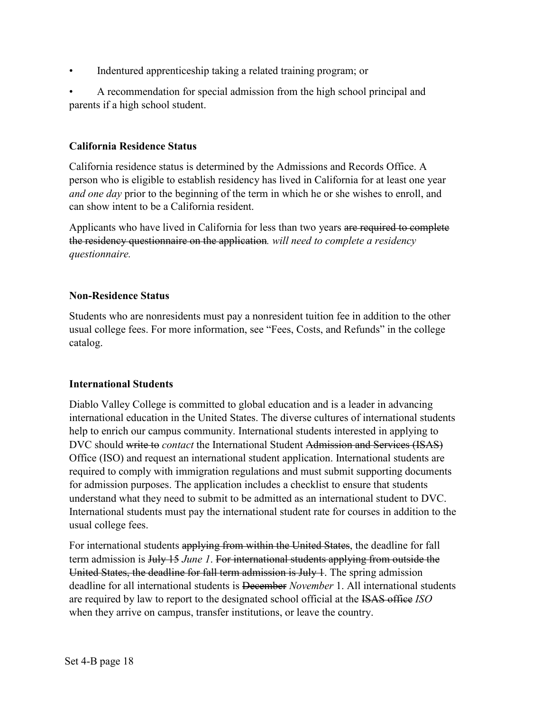• Indentured apprenticeship taking a related training program; or

• A recommendation for special admission from the high school principal and parents if a high school student.

#### **California Residence Status**

California residence status is determined by the Admissions and Records Office. A person who is eligible to establish residency has lived in California for at least one year *and one day* prior to the beginning of the term in which he or she wishes to enroll, and can show intent to be a California resident.

Applicants who have lived in California for less than two years are required to complete the residency questionnaire on the application*. will need to complete a residency questionnaire.*

#### **Non-Residence Status**

Students who are nonresidents must pay a nonresident tuition fee in addition to the other usual college fees. For more information, see "Fees, Costs, and Refunds" in the college catalog.

#### **International Students**

Diablo Valley College is committed to global education and is a leader in advancing international education in the United States. The diverse cultures of international students help to enrich our campus community. International students interested in applying to DVC should write to *contact* the International Student Admission and Services (ISAS) Office (ISO) and request an international student application. International students are required to comply with immigration regulations and must submit supporting documents for admission purposes. The application includes a checklist to ensure that students understand what they need to submit to be admitted as an international student to DVC. International students must pay the international student rate for courses in addition to the usual college fees.

For international students applying from within the United States, the deadline for fall term admission is July 15 *June 1*. For international students applying from outside the United States, the deadline for fall term admission is July 1. The spring admission deadline for all international students is December *November* 1. All international students are required by law to report to the designated school official at the ISAS office *ISO* when they arrive on campus, transfer institutions, or leave the country.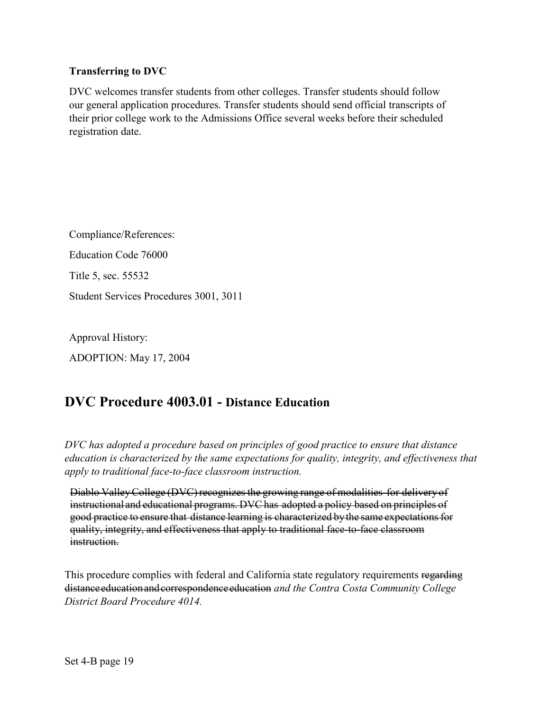#### **Transferring to DVC**

DVC welcomes transfer students from other colleges. Transfer students should follow our general application procedures. Transfer students should send official transcripts of their prior college work to the Admissions Office several weeks before their scheduled registration date.

Compliance/References: Education Code 76000 Title 5, sec. 55532 Student Services Procedures 3001, 3011

Approval History: ADOPTION: May 17, 2004

# **DVC Procedure 4003.01 - Distance Education**

*DVC has adopted a procedure based on principles of good practice to ensure that distance education is characterized by the same expectations for quality, integrity, and effectiveness that apply to traditional face-to-face classroom instruction.*

Diablo ValleyCollege (DVC) recognizes the growing range of modalities for delivery of instructional and educational programs. DVChas adopted a policy based on principles of good practice to ensure that distance learning is characterized by the same expectations for quality, integrity, and effectiveness that apply to traditional face-to-face classroom instruction.

This procedure complies with federal and California state regulatory requirements regarding distanceeducationandcorrespondenceeducation *and the Contra Costa Community College District Board Procedure 4014.*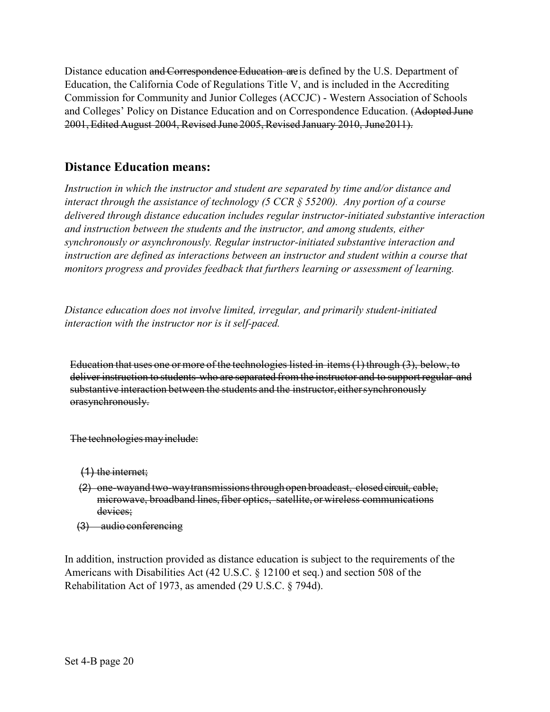Distance education and Correspondence Education are is defined by the U.S. Department of Education, the California Code of Regulations Title V, and is included in the Accrediting Commission for Community and Junior Colleges (ACCJC) - Western Association of Schools and Colleges' Policy on Distance Education and on Correspondence Education. (Adopted June 2001, Edited August 2004, Revised June 2005,Revised January 2010, June2011).

# **Distance Education means:**

*Instruction in which the instructor and student are separated by time and/or distance and interact through the assistance of technology (5 CCR § 55200). Any portion of a course delivered through distance education includes regular instructor-initiated substantive interaction and instruction between the students and the instructor, and among students, either synchronously or asynchronously. Regular instructor-initiated substantive interaction and*  instruction are defined as interactions between an instructor and student within a course that *monitors progress and provides feedback that furthers learning or assessment of learning.* 

*Distance education does not involve limited, irregular, and primarily student-initiated interaction with the instructor nor is it self-paced.*

Education that uses one or more of the technologies listed in items(1) through (3), below, to deliver instruction to students who are separated from the instructor and to support regular and substantive interaction between the students and the instructor, either synchronously orasynchronously.

The technologies mayinclude:

- (1) the internet;
- (2) one-wayand two-waytransmissionsthroughopen broadcast, closed circuit, cable, microwave, broadband lines, fiber optics, satellite, or wireless communications devices;
- (3) audio conferencing

In addition, instruction provided as distance education is subject to the requirements of the Americans with Disabilities Act (42 U.S.C. § 12100 et seq.) and section 508 of the Rehabilitation Act of 1973, as amended (29 U.S.C. § 794d).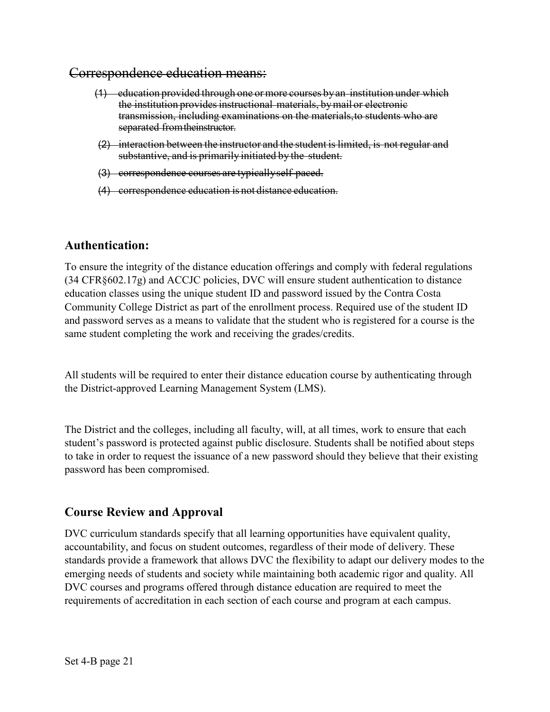### Correspondence education means:

- (1) education provided through one ormore courses byan institution under which the institution provides instructional materials, by mail or electronic transmission, including examinations on the materials,to students who are separated fromtheinstructor.
- (2) interaction between the instructor and the student is limited, is not regular and substantive, and is primarily initiated by the student.
- (3) correspondence courses are typicallyself-paced.
- (4) correspondence education is not distance education.

## **Authentication:**

To ensure the integrity of the distance education offerings and comply with federal regulations (34 CFR§602.17g) and ACCJC policies, DVC will ensure student authentication to distance education classes using the unique student ID and password issued by the Contra Costa Community College District as part of the enrollment process. Required use of the student ID and password serves as a means to validate that the student who is registered for a course is the same student completing the work and receiving the grades/credits.

All students will be required to enter their distance education course by authenticating through the District-approved Learning Management System (LMS).

The District and the colleges, including all faculty, will, at all times, work to ensure that each student's password is protected against public disclosure. Students shall be notified about steps to take in order to request the issuance of a new password should they believe that their existing password has been compromised.

# **Course Review and Approval**

DVC curriculum standards specify that all learning opportunities have equivalent quality, accountability, and focus on student outcomes, regardless of their mode of delivery. These standards provide a framework that allows DVC the flexibility to adapt our delivery modes to the emerging needs of students and society while maintaining both academic rigor and quality. All DVC courses and programs offered through distance education are required to meet the requirements of accreditation in each section of each course and program at each campus.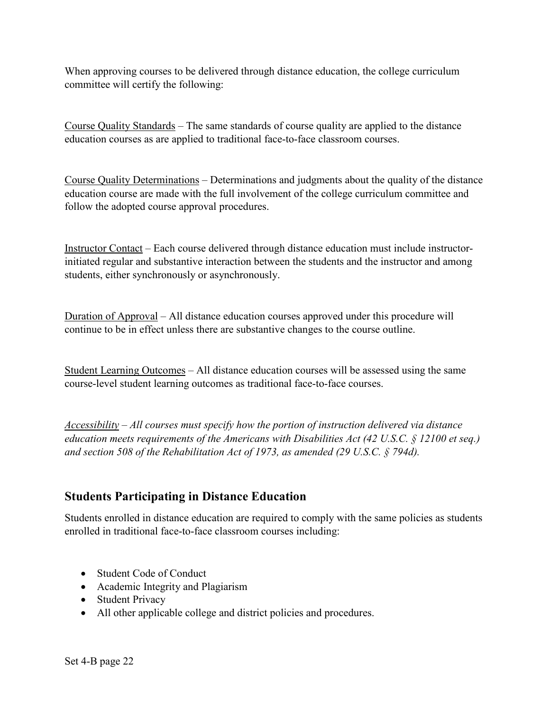When approving courses to be delivered through distance education, the college curriculum committee will certify the following:

Course Quality Standards – The same standards of course quality are applied to the distance education courses as are applied to traditional face-to-face classroom courses.

Course Quality Determinations – Determinations and judgments about the quality of the distance education course are made with the full involvement of the college curriculum committee and follow the adopted course approval procedures.

Instructor Contact – Each course delivered through distance education must include instructorinitiated regular and substantive interaction between the students and the instructor and among students, either synchronously or asynchronously.

Duration of Approval – All distance education courses approved under this procedure will continue to be in effect unless there are substantive changes to the course outline.

Student Learning Outcomes – All distance education courses will be assessed using the same course-level student learning outcomes as traditional face-to-face courses.

*Accessibility – All courses must specify how the portion of instruction delivered via distance education meets requirements of the Americans with Disabilities Act (42 U.S.C. § 12100 et seq.) and section 508 of the Rehabilitation Act of 1973, as amended (29 U.S.C. § 794d).* 

# **Students Participating in Distance Education**

Students enrolled in distance education are required to comply with the same policies as students enrolled in traditional face-to-face classroom courses including:

- Student Code of Conduct
- Academic Integrity and Plagiarism
- Student Privacy
- All other applicable college and district policies and procedures.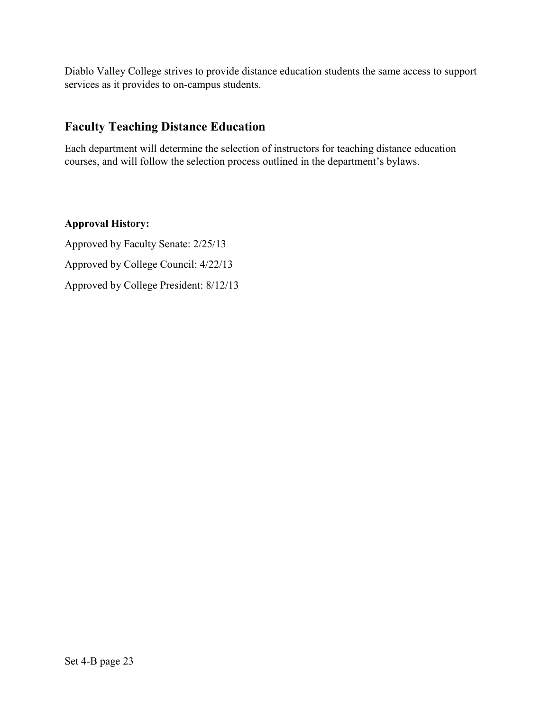Diablo Valley College strives to provide distance education students the same access to support services as it provides to on-campus students.

# **Faculty Teaching Distance Education**

Each department will determine the selection of instructors for teaching distance education courses, and will follow the selection process outlined in the department's bylaws.

# **Approval History:**

Approved by Faculty Senate: 2/25/13 Approved by College Council: 4/22/13 Approved by College President: 8/12/13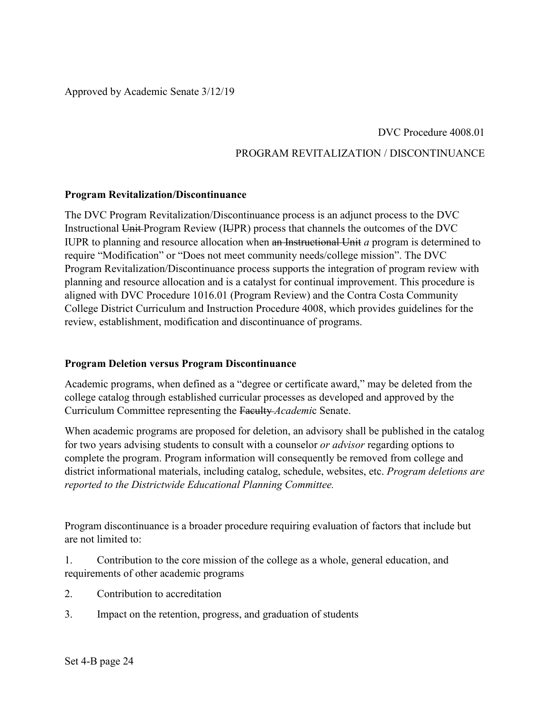# DVC Procedure 4008.01 PROGRAM REVITALIZATION / DISCONTINUANCE

#### **Program Revitalization/Discontinuance**

The DVC Program Revitalization/Discontinuance process is an adjunct process to the DVC Instructional Unit-Program Review (IUPR) process that channels the outcomes of the DVC IUPR to planning and resource allocation when an Instructional Unit *a* program is determined to require "Modification" or "Does not meet community needs/college mission". The DVC Program Revitalization/Discontinuance process supports the integration of program review with planning and resource allocation and is a catalyst for continual improvement. This procedure is aligned with DVC Procedure 1016.01 (Program Review) and the Contra Costa Community College District Curriculum and Instruction Procedure 4008, which provides guidelines for the review, establishment, modification and discontinuance of programs.

#### **Program Deletion versus Program Discontinuance**

Academic programs, when defined as a "degree or certificate award," may be deleted from the college catalog through established curricular processes as developed and approved by the Curriculum Committee representing the Faculty *Academi*c Senate.

When academic programs are proposed for deletion, an advisory shall be published in the catalog for two years advising students to consult with a counselor *or advisor* regarding options to complete the program. Program information will consequently be removed from college and district informational materials, including catalog, schedule, websites, etc. *Program deletions are reported to the Districtwide Educational Planning Committee.*

Program discontinuance is a broader procedure requiring evaluation of factors that include but are not limited to:

1. Contribution to the core mission of the college as a whole, general education, and requirements of other academic programs

- 2. Contribution to accreditation
- 3. Impact on the retention, progress, and graduation of students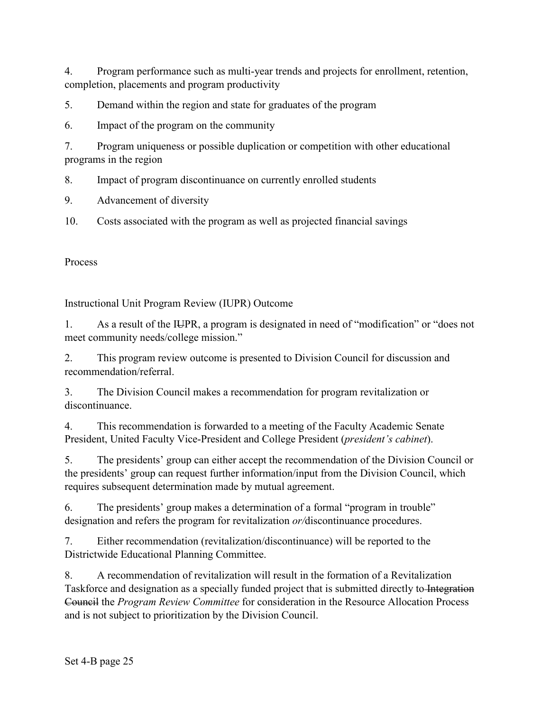4. Program performance such as multi-year trends and projects for enrollment, retention, completion, placements and program productivity

5. Demand within the region and state for graduates of the program

6. Impact of the program on the community

7. Program uniqueness or possible duplication or competition with other educational programs in the region

8. Impact of program discontinuance on currently enrolled students

9. Advancement of diversity

10. Costs associated with the program as well as projected financial savings

Process

Instructional Unit Program Review (IUPR) Outcome

1. As a result of the IUPR, a program is designated in need of "modification" or "does not meet community needs/college mission."

2. This program review outcome is presented to Division Council for discussion and recommendation/referral.

3. The Division Council makes a recommendation for program revitalization or discontinuance.

4. This recommendation is forwarded to a meeting of the Faculty Academic Senate President, United Faculty Vice-President and College President (*president's cabinet*).

5. The presidents' group can either accept the recommendation of the Division Council or the presidents' group can request further information/input from the Division Council, which requires subsequent determination made by mutual agreement.

6. The presidents' group makes a determination of a formal "program in trouble" designation and refers the program for revitalization *or/*discontinuance procedures.

7. Either recommendation (revitalization/discontinuance) will be reported to the Districtwide Educational Planning Committee.

8. A recommendation of revitalization will result in the formation of a Revitalization Taskforce and designation as a specially funded project that is submitted directly to Integration Council the *Program Review Committee* for consideration in the Resource Allocation Process and is not subject to prioritization by the Division Council.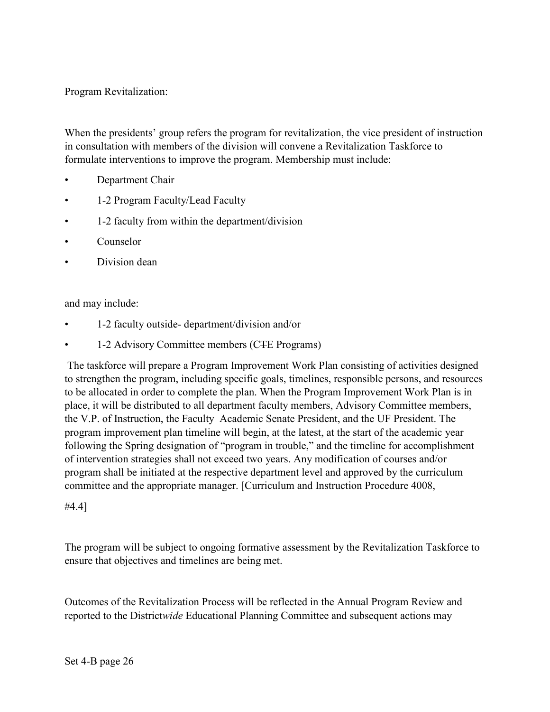Program Revitalization:

When the presidents' group refers the program for revitalization, the vice president of instruction in consultation with members of the division will convene a Revitalization Taskforce to formulate interventions to improve the program. Membership must include:

- Department Chair
- 1-2 Program Faculty/Lead Faculty
- 1-2 faculty from within the department/division
- Counselor
- Division dean

and may include:

- 1-2 faculty outside- department/division and/or
- 1-2 Advisory Committee members (CTE Programs)

The taskforce will prepare a Program Improvement Work Plan consisting of activities designed to strengthen the program, including specific goals, timelines, responsible persons, and resources to be allocated in order to complete the plan. When the Program Improvement Work Plan is in place, it will be distributed to all department faculty members, Advisory Committee members, the V.P. of Instruction, the Faculty Academic Senate President, and the UF President. The program improvement plan timeline will begin, at the latest, at the start of the academic year following the Spring designation of "program in trouble," and the timeline for accomplishment of intervention strategies shall not exceed two years. Any modification of courses and/or program shall be initiated at the respective department level and approved by the curriculum committee and the appropriate manager. [Curriculum and Instruction Procedure 4008,

#4.4]

The program will be subject to ongoing formative assessment by the Revitalization Taskforce to ensure that objectives and timelines are being met.

Outcomes of the Revitalization Process will be reflected in the Annual Program Review and reported to the District*wide* Educational Planning Committee and subsequent actions may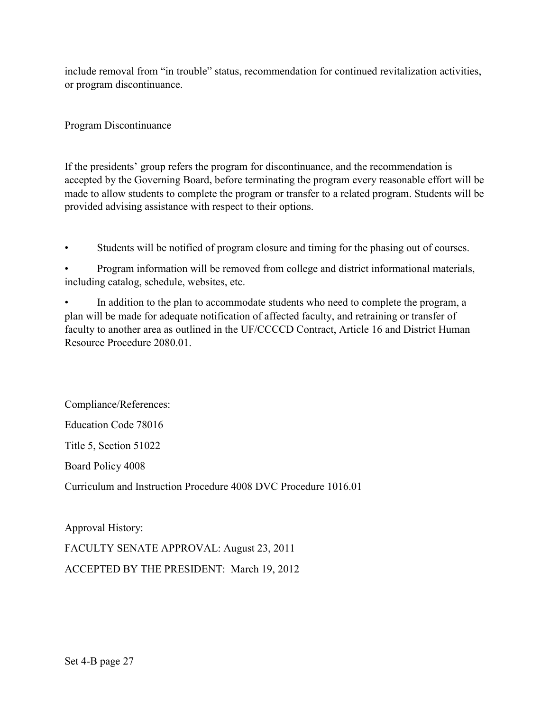include removal from "in trouble" status, recommendation for continued revitalization activities, or program discontinuance.

Program Discontinuance

If the presidents' group refers the program for discontinuance, and the recommendation is accepted by the Governing Board, before terminating the program every reasonable effort will be made to allow students to complete the program or transfer to a related program. Students will be provided advising assistance with respect to their options.

Students will be notified of program closure and timing for the phasing out of courses.

• Program information will be removed from college and district informational materials, including catalog, schedule, websites, etc.

In addition to the plan to accommodate students who need to complete the program, a plan will be made for adequate notification of affected faculty, and retraining or transfer of faculty to another area as outlined in the UF/CCCCD Contract, Article 16 and District Human Resource Procedure 2080.01.

Compliance/References: Education Code 78016 Title 5, Section 51022 Board Policy 4008 Curriculum and Instruction Procedure 4008 DVC Procedure 1016.01

Approval History: FACULTY SENATE APPROVAL: August 23, 2011 ACCEPTED BY THE PRESIDENT: March 19, 2012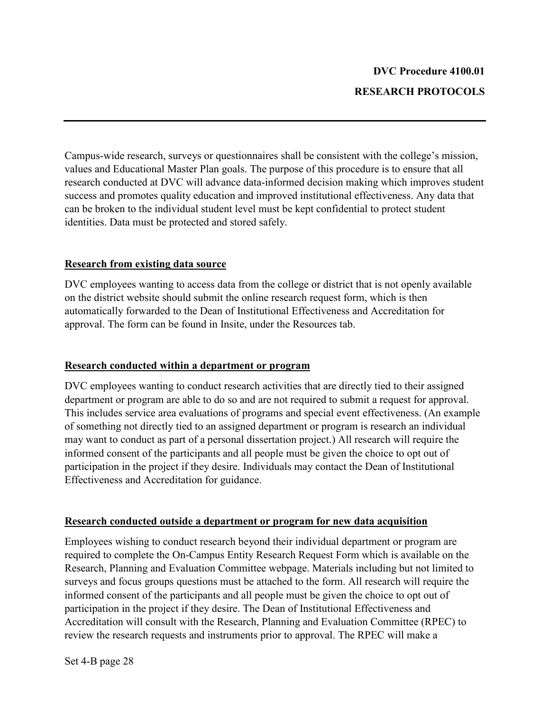Campus-wide research, surveys or questionnaires shall be consistent with the college's mission, values and Educational Master Plan goals. The purpose of this procedure is to ensure that all research conducted at DVC will advance data-informed decision making which improves student success and promotes quality education and improved institutional effectiveness. Any data that can be broken to the individual student level must be kept confidential to protect student identities. Data must be protected and stored safely.

#### **Research from existing data source**

DVC employees wanting to access data from the college or district that is not openly available on the district website should submit the online research request form, which is then automatically forwarded to the Dean of Institutional Effectiveness and Accreditation for approval. The form can be found in Insite, under the Resources tab.

#### **Research conducted within a department or program**

DVC employees wanting to conduct research activities that are directly tied to their assigned department or program are able to do so and are not required to submit a request for approval. This includes service area evaluations of programs and special event effectiveness. (An example of something not directly tied to an assigned department or program is research an individual may want to conduct as part of a personal dissertation project.) All research will require the informed consent of the participants and all people must be given the choice to opt out of participation in the project if they desire. Individuals may contact the Dean of Institutional Effectiveness and Accreditation for guidance.

## **Research conducted outside a department or program for new data acquisition**

Employees wishing to conduct research beyond their individual department or program are required to complete the On-Campus Entity Research Request Form which is available on the Research, Planning and Evaluation Committee webpage. Materials including but not limited to surveys and focus groups questions must be attached to the form. All research will require the informed consent of the participants and all people must be given the choice to opt out of participation in the project if they desire. The Dean of Institutional Effectiveness and Accreditation will consult with the Research, Planning and Evaluation Committee (RPEC) to review the research requests and instruments prior to approval. The RPEC will make a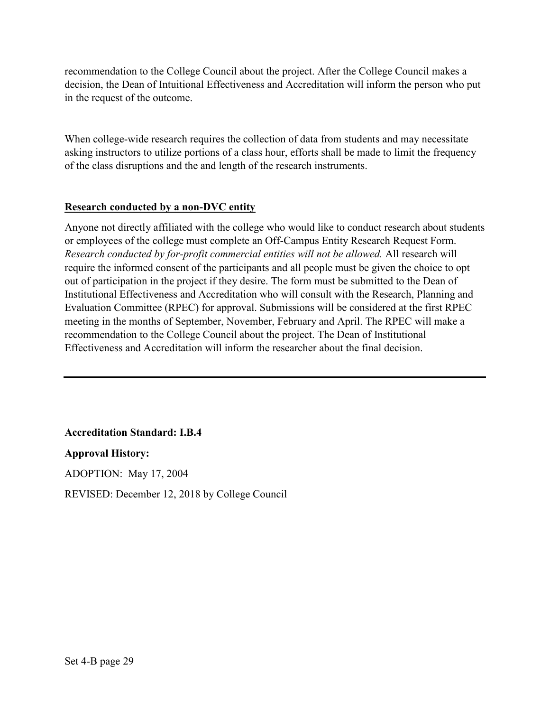recommendation to the College Council about the project. After the College Council makes a decision, the Dean of Intuitional Effectiveness and Accreditation will inform the person who put in the request of the outcome.

When college-wide research requires the collection of data from students and may necessitate asking instructors to utilize portions of a class hour, efforts shall be made to limit the frequency of the class disruptions and the and length of the research instruments.

## **Research conducted by a non-DVC entity**

Anyone not directly affiliated with the college who would like to conduct research about students or employees of the college must complete an Off-Campus Entity Research Request Form. *Research conducted by for-profit commercial entities will not be allowed.* All research will require the informed consent of the participants and all people must be given the choice to opt out of participation in the project if they desire. The form must be submitted to the Dean of Institutional Effectiveness and Accreditation who will consult with the Research, Planning and Evaluation Committee (RPEC) for approval. Submissions will be considered at the first RPEC meeting in the months of September, November, February and April. The RPEC will make a recommendation to the College Council about the project. The Dean of Institutional Effectiveness and Accreditation will inform the researcher about the final decision.

## **Accreditation Standard: I.B.4**

### **Approval History:**

ADOPTION: May 17, 2004

REVISED: December 12, 2018 by College Council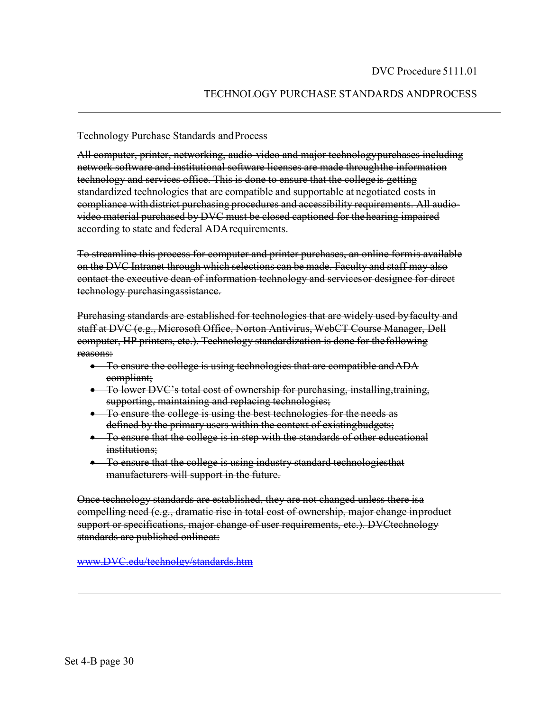### TECHNOLOGY PURCHASE STANDARDS ANDPROCESS

### Technology Purchase Standards and Process

All computer, printer, networking, audio-video and major technologypurchases including network software and institutional software licenses are made throughthe information technology and services office. This is done to ensure that the collegeis getting standardized technologies that are compatible and supportable at negotiated costs in compliance with district purchasing procedures and accessibility requirements. All audiovideo material purchased by DVC must be closed captioned for thehearing impaired according to state and federal ADArequirements.

To streamline this process for computer and printer purchases, an online formis available on the DVC Intranet through which selections can be made. Faculty and staff may also contact the executive dean of information technology and servicesor designee for direct technology purchasingassistance.

Purchasing standards are established for technologies that are widely used byfaculty and staff at DVC (e.g., Microsoft Office, Norton Antivirus, WebCT Course Manager, Dell computer, HP printers, etc.). Technology standardization is done for thefollowing reasons:

- To ensure the college is using technologies that are compatible and ADA compliant;
- To lower DVC's total cost of ownership for purchasing, installing,training, supporting, maintaining and replacing technologies;
- To ensure the college is using the best technologies for the needs as defined by the primary users within the context of existingbudgets;
- To ensure that the college is in step with the standards of other educational institutions;
- To ensure that the college is using industry standard technologies that manufacturers will support in the future.

Once technology standards are established, they are not changed unless there isa compelling need (e.g., dramatic rise in total cost of ownership, major change inproduct support or specifications, major change of user requirements, etc.). DVCtechnology standards are published onlineat:

[www.DVC.edu/technolgy/standards.htm](http://www.dvc.edu/technolgy/standards.htm)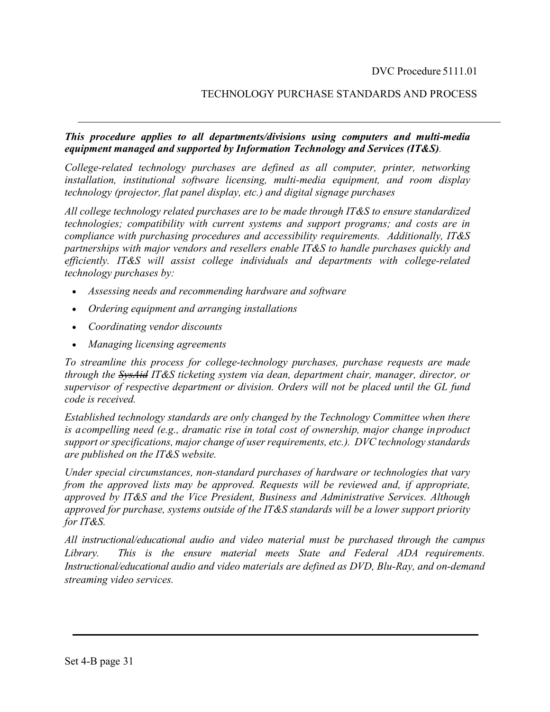## TECHNOLOGY PURCHASE STANDARDS AND PROCESS

### *This procedure applies to all departments/divisions using computers and multi-media equipment managed and supported by Information Technology and Services (IT&S).*

*College-related technology purchases are defined as all computer, printer, networking installation, institutional software licensing, multi-media equipment, and room display technology (projector, flat panel display, etc.) and digital signage purchases*

*All college technology related purchases are to be made through IT&S to ensure standardized technologies; compatibility with current systems and support programs; and costs are in compliance with purchasing procedures and accessibility requirements. Additionally, IT&S partnerships with major vendors and resellers enable IT&S to handle purchases quickly and efficiently. IT&S will assist college individuals and departments with college-related technology purchases by:*

- *Assessing needs and recommending hardware and software*
- *Ordering equipment and arranging installations*
- *Coordinating vendor discounts*
- *Managing licensing agreements*

*To streamline this process for college-technology purchases, purchase requests are made through the SysAid IT&S ticketing system via dean, department chair, manager, director, or supervisor of respective department or division. Orders will not be placed until the GL fund code is received.*

*Established technology standards are only changed by the Technology Committee when there is acompelling need (e.g., dramatic rise in total cost of ownership, major change inproduct support or specifications, major change of user requirements, etc.). DVC technology standards are published on the IT&S website.*

*Under special circumstances, non-standard purchases of hardware or technologies that vary from the approved lists may be approved. Requests will be reviewed and, if appropriate, approved by IT&S and the Vice President, Business and Administrative Services. Although approved for purchase, systems outside of the IT&S standards will be a lower support priority for IT&S.*

*All instructional/educational audio and video material must be purchased through the campus Library. This is the ensure material meets State and Federal ADA requirements. Instructional/educational audio and video materials are defined as DVD, Blu-Ray, and on-demand streaming video services.*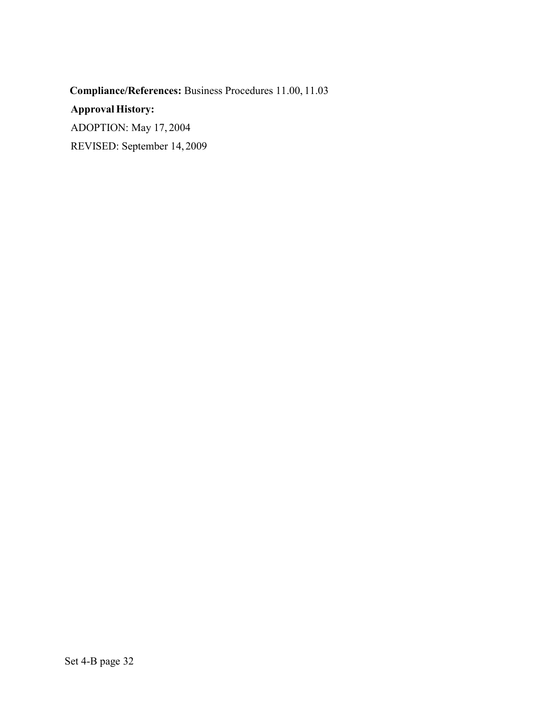**Compliance/References:** Business Procedures 11.00, 11.03 **Approval History:** ADOPTION: May 17, 2004 REVISED: September 14, 2009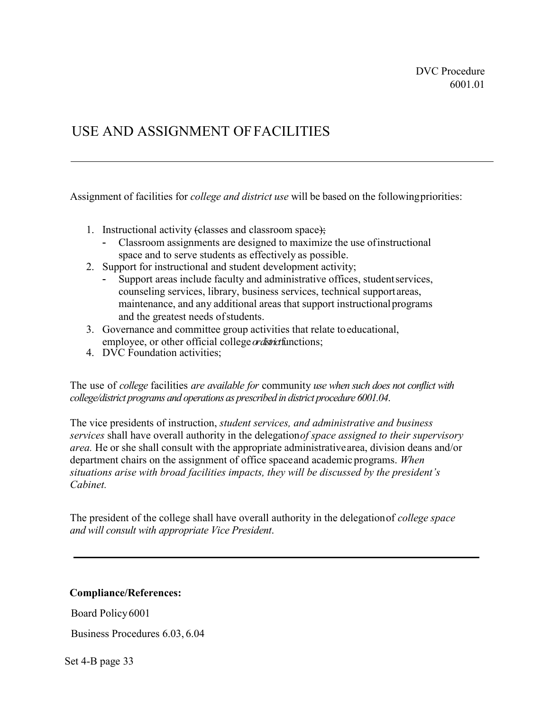# USE AND ASSIGNMENT OFFACILITIES

Assignment of facilities for *college and district use* will be based on the followingpriorities:

- 1. Instructional activity (classes and classroom space);
	- Classroom assignments are designed to maximize the use ofinstructional space and to serve students as effectively as possible.
- 2. Support for instructional and student development activity;
	- Support areas include faculty and administrative offices, student services, counseling services, library, business services, technical support areas, maintenance, and any additional areas that support instructionalprograms and the greatest needs ofstudents.
- 3. Governance and committee group activities that relate toeducational, employee, or other official college*or district*functions;
- 4. DVC Foundation activities;

The use of *college* facilities *are available for* community *use when such does not conflict with college/district programs and operations as prescribed in district procedure 6001.04*.

The vice presidents of instruction, *student services, and administrative and business services* shall have overall authority in the delegation *of space assigned to their supervisory area.* He or she shall consult with the appropriate administrativearea, division deans and/or department chairs on the assignment of office spaceand academic programs. *When situations arise with broad facilities impacts, they will be discussed by the president's Cabinet.*

The president of the college shall have overall authority in the delegationof *college space and will consult with appropriate Vice President*.

### **Compliance/References:**

Board Policy6001

Business Procedures 6.03, 6.04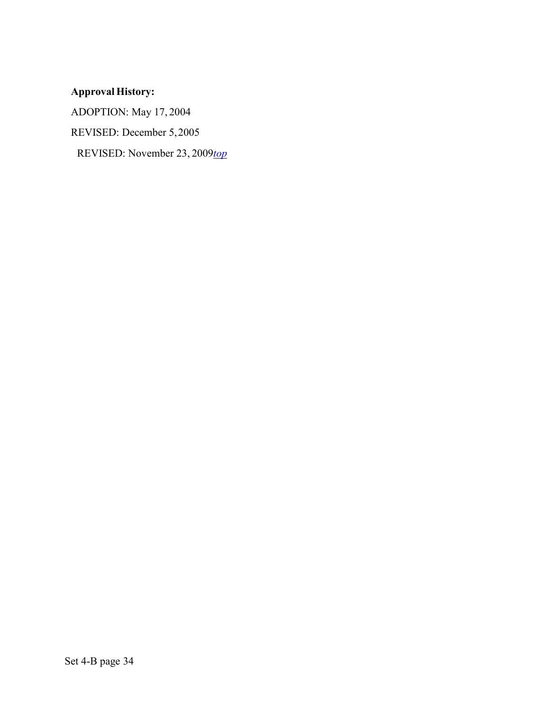# **Approval History:**

ADOPTION: May 17, 2004

REVISED: December 5,2005

REVISED: November 23, 2009*top*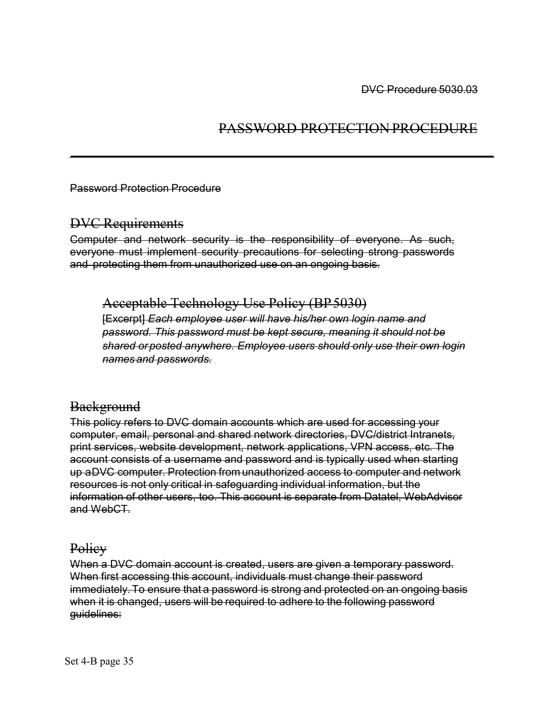# PASSWORD PROTECTION PROCEDURE

Password Protection Procedure

## DVC Requirements

Computer and network security is the responsibility of everyone. As such, everyone must implement security precautions for selecting strong passwords and protecting them from unauthorized use on an ongoing basis.

Acceptable Technology Use Policy (BP5030)

[Excerpt] *Each employee user will have his/her own login name and password. This password must be kept secure, meaning it should not be shared orposted anywhere. Employee users should only use their own login names and passwords.*

## **Background**

This policy refers to DVC domain accounts which are used for accessing your computer, email, personal and shared network directories, DVC/district Intranets, print services, website development, network applications, VPN access, etc. The account consists of a username and password and is typically used when starting up aDVC computer. Protection from unauthorized access to computer and network resources is not only critical in safeguarding individual information, but the information of other users, too. This account is separate from Datatel, WebAdvisor and WebCT.

## Policy

When a DVC domain account is created, users are given a temporary password. When first accessing this account, individuals must change their password immediately.To ensure that a password is strong and protected on an ongoing basis when it is changed, users will be required to adhere to the following password guidelines: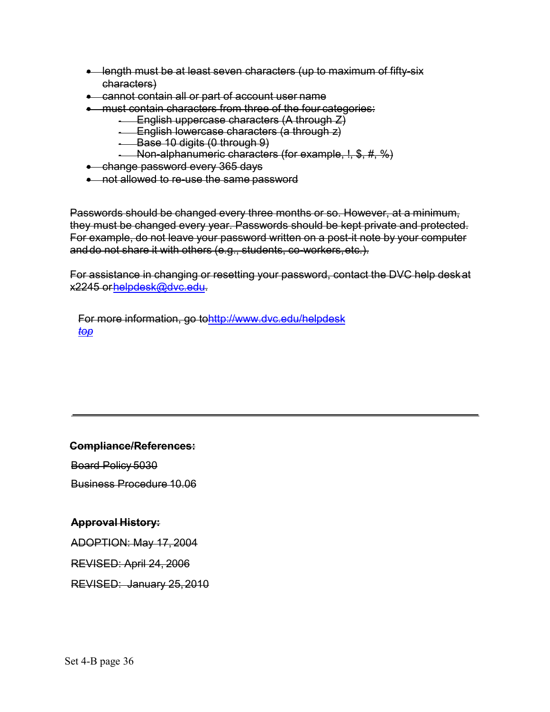- length must be at least seven characters (up to maximum of fifty-six characters)
- cannot contain all or part of account user name
- must contain characters from three of the four categories:
	- $\overline{-}$  English uppercase characters (A through  $Z$ )
	- English lowercase characters (a through z)
	- Base 10 digits (0 through 9)
	- Non-alphanumeric characters (for example, !, \$, #, %)
- change password every 365 days
- not allowed to re-use the same password

Passwords should be changed every three months or so. However, at a minimum, they must be changed every year. Passwords should be kept private and protected. For example, do not leave your password written on a post-it note by your computer anddo not share it with others (e.g., students, co-workers,etc.).

For assistance in changing or resetting your password, contact the DVC help deskat x2245 o[rhelpdesk@dvc.edu.](mailto:helpdesk@dvc.edu)

For more information, go t[ohttp://www.dvc.edu/helpdesk](http://www.dvc.edu/helpdesk) *top*

**Compliance/References:**

Board Policy 5030

Business Procedure 10.06

## **Approval History:**

ADOPTION: May 17, 2004

REVISED: April 24, 2006

REVISED: January 25, 2010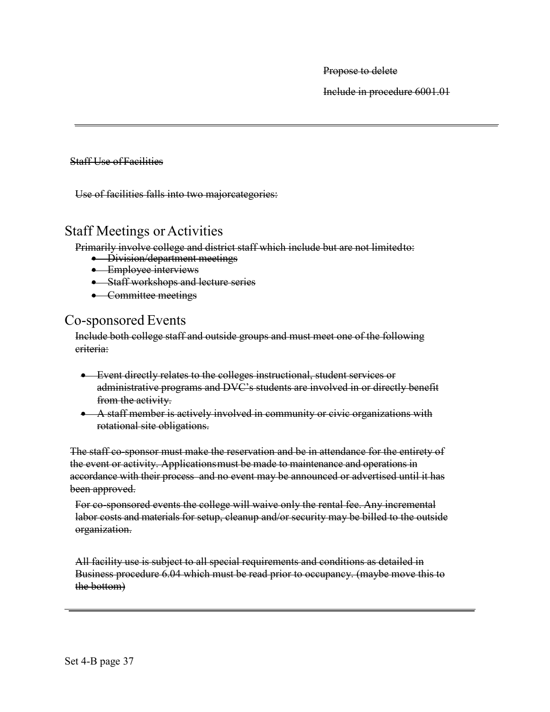Propose to delete

Include in procedure 6001.01

Staff Use of Facilities

Use of facilities falls into two majorcategories:

## **Staff Meetings or Activities**

Primarily involve college and district staff which include but are not limited to:<br>• Division/department meetings

- 
- Employee interviews
- Staff workshops and lecture series
- Committee meetings

## Co-sponsored Events

Include both college staff and outside groups and must meet one of the following criteria:

- Event directly relates to the colleges instructional, student services or administrative programs and DVC's students are involved in or directly benefit from the activity.
- A staff member is actively involved in community or civic organizations with rotational site obligations.

The staff co-sponsor must make the reservation and be in attendance for the entirety of the event or activity. Applicationsmust be made to maintenance and operations in accordance with their process and no event may be announced or advertised until it has been approved.

For co-sponsored events the college will waive only the rental fee. Any incremental labor costs and materials for setup, cleanup and/or security may be billed to the outside organization.

All facility use is subject to all special requirements and conditions as detailed in Business procedure 6.04 which must be read prior to occupancy. (maybe move this to the bottom)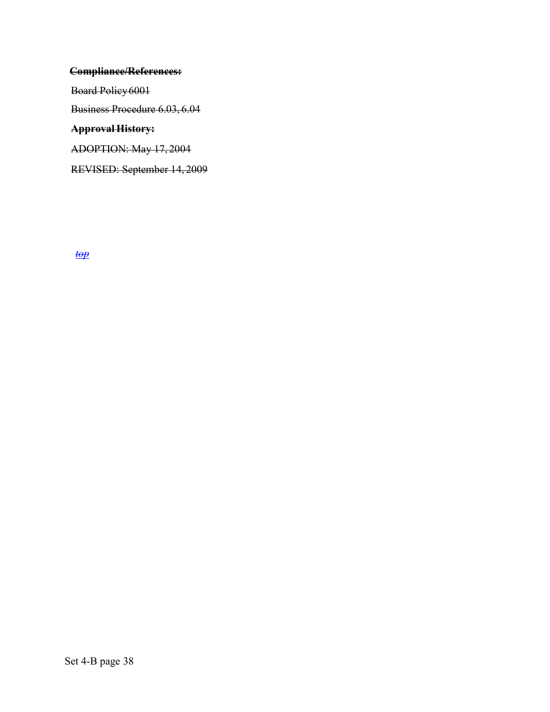## **Compliance/References:**

Board Policy6001

Business Procedure 6.03, 6.04

## **Approval History:**

ADOPTION: May 17, 2004

REVISED: September 14, 2009

*top*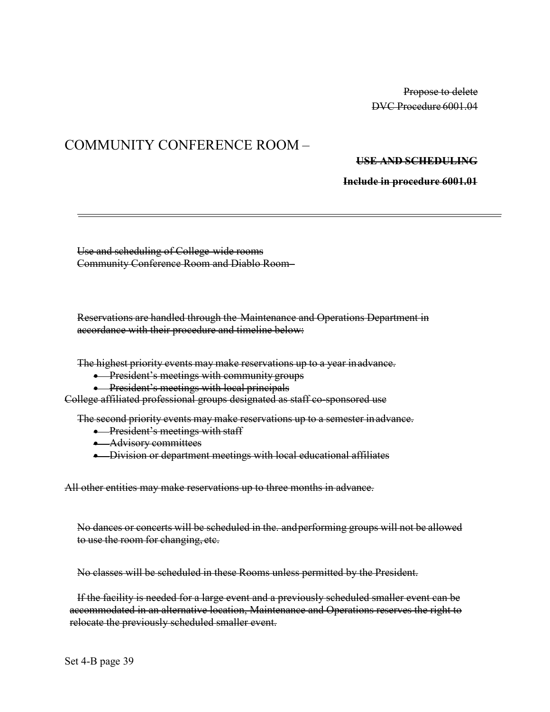Propose to delete DVC Procedure 6001.04

# COMMUNITY CONFERENCE ROOM –

### **USE AND SCHEDULING**

**Include in procedure 6001.01**

Use and scheduling of College-wide rooms Community Conference Room and Diablo Room–

Reservations are handled through the Maintenance and Operations Department in accordance with their procedure and timeline below:

The highest priority events may make reservations up to a year inadvance.

• President's meetings with community groups

**•** President's meetings with local principals

College affiliated professional groups designated as staff co-sponsored use

The second priority events may make reservations up to a semester inadvance.

- **•** President's meetings with staff
- Advisory committees
- Division or department meetings with local educational affiliates

All other entities may make reservations up to three months in advance.

No dances or concerts will be scheduled in the. andperforming groups will not be allowed to use the room for changing, etc.

No classes will be scheduled in these Rooms unless permitted by the President.

If the facility is needed for a large event and a previously scheduled smaller event can be accommodated in an alternative location, Maintenance and Operations reserves the right to relocate the previously scheduled smaller event.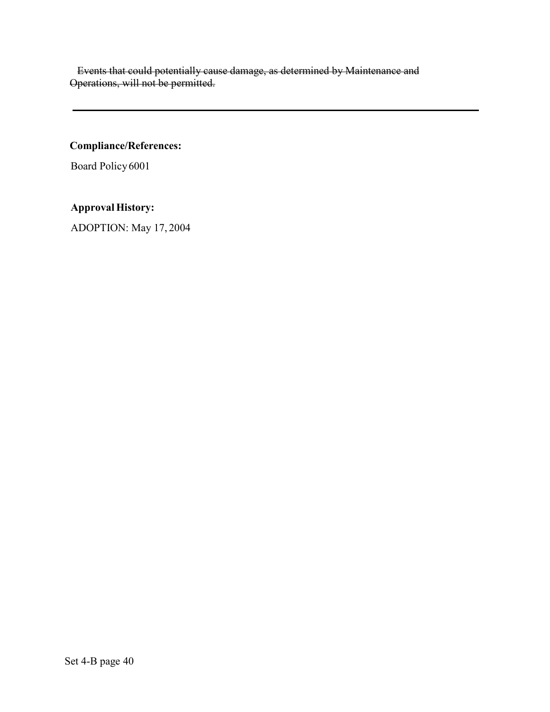Events that could potentially cause damage, as determined by Maintenance and Operations, will not be permitted.

**Compliance/References:**

Board Policy6001

**Approval History:**

ADOPTION: May 17, 2004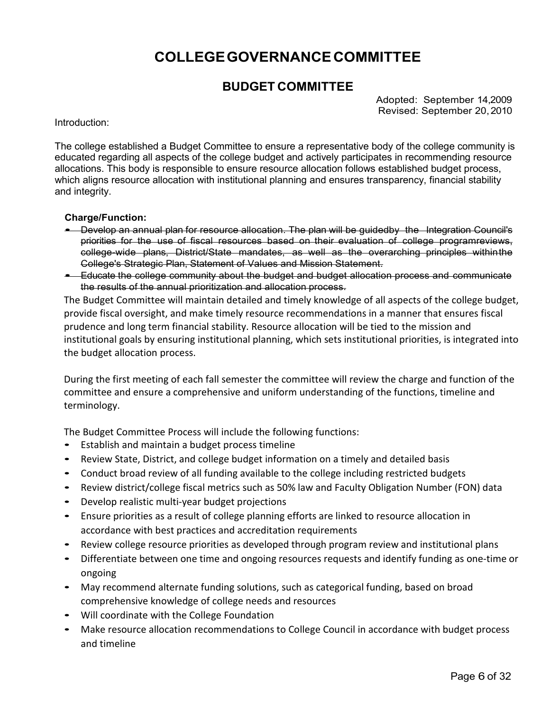# **COLLEGEGOVERNANCECOMMITTEE**

## **BUDGET COMMITTEE**

Adopted: September 14,2009 Revised: September 20,2010

Introduction:

The college established a Budget Committee to ensure a representative body of the college community is educated regarding all aspects of the college budget and actively participates in recommending resource allocations. This body is responsible to ensure resource allocation follows established budget process, which aligns resource allocation with institutional planning and ensures transparency, financial stability and integrity.

### **Charge/Function:**

- Develop an annual plan for resource allocation. The plan will be guidedby the Integration Council's priorities for the use of fiscal resources based on their evaluation of college programreviews, college-wide plans, District/State mandates, as well as the overarching principles withinthe College's Strategic Plan, Statement of Values and Mission Statement.
- Educate the college community about the budget and budget allocation process and communicate the results of the annual prioritization and allocation process.

The Budget Committee will maintain detailed and timely knowledge of all aspects of the college budget, provide fiscal oversight, and make timely resource recommendations in a manner that ensures fiscal prudence and long term financial stability. Resource allocation will be tied to the mission and institutional goals by ensuring institutional planning, which sets institutional priorities, is integrated into the budget allocation process.

During the first meeting of each fall semester the committee will review the charge and function of the committee and ensure a comprehensive and uniform understanding of the functions, timeline and terminology.

The Budget Committee Process will include the following functions:

- Establish and maintain a budget process timeline
- Review State, District, and college budget information on a timely and detailed basis
- Conduct broad review of all funding available to the college including restricted budgets
- Review district/college fiscal metrics such as 50% law and Faculty Obligation Number (FON) data
- Develop realistic multi-year budget projections
- Ensure priorities as a result of college planning efforts are linked to resource allocation in accordance with best practices and accreditation requirements
- Review college resource priorities as developed through program review and institutional plans
- Differentiate between one time and ongoing resources requests and identify funding as one-time or ongoing
- May recommend alternate funding solutions, such as categorical funding, based on broad comprehensive knowledge of college needs and resources
- Will coordinate with the College Foundation
- Make resource allocation recommendations to College Council in accordance with budget process and timeline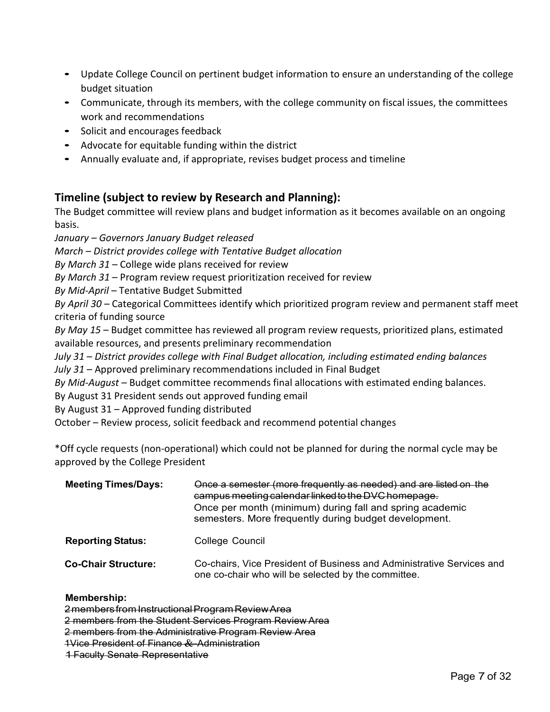- Update College Council on pertinent budget information to ensure an understanding of the college budget situation
- Communicate, through its members, with the college community on fiscal issues, the committees work and recommendations
- Solicit and encourages feedback
- Advocate for equitable funding within the district
- Annually evaluate and, if appropriate, revises budget process and timeline

## **Timeline (subject to review by Research and Planning):**

The Budget committee will review plans and budget information as it becomes available on an ongoing basis.

*January – Governors January Budget released*

*March – District provides college with Tentative Budget allocation*

*By March 31* – College wide plans received for review

*By March 31* – Program review request prioritization received for review

*By Mid-April* – Tentative Budget Submitted

*By April 30* – Categorical Committees identify which prioritized program review and permanent staff meet criteria of funding source

*By May 15* – Budget committee has reviewed all program review requests, prioritized plans, estimated available resources, and presents preliminary recommendation

*July 31* – *District provides college with Final Budget allocation, including estimated ending balances July 31* – Approved preliminary recommendations included in Final Budget

*By Mid-August* – Budget committee recommends final allocations with estimated ending balances.

By August 31 President sends out approved funding email

By August 31 – Approved funding distributed

October – Review process, solicit feedback and recommend potential changes

\*Off cycle requests (non-operational) which could not be planned for during the normal cycle may be approved by the College President

| <b>Meeting Times/Days:</b> | Once a semester (more frequently as needed) and are listed on the<br>campus meeting calendar linked to the DVC homepage.<br>Once per month (minimum) during fall and spring academic<br>semesters. More frequently during budget development. |
|----------------------------|-----------------------------------------------------------------------------------------------------------------------------------------------------------------------------------------------------------------------------------------------|
| <b>Reporting Status:</b>   | College Council                                                                                                                                                                                                                               |
| <b>Co-Chair Structure:</b> | Co-chairs, Vice President of Business and Administrative Services and<br>one co-chair who will be selected by the committee.                                                                                                                  |

### **Membership:**

2membersfrom InstructionalProgramReviewArea

2 members from the Student Services Program Review Area

2 members from the Administrative Program Review Area

1Vice President of Finance & Administration

1 Faculty Senate Representative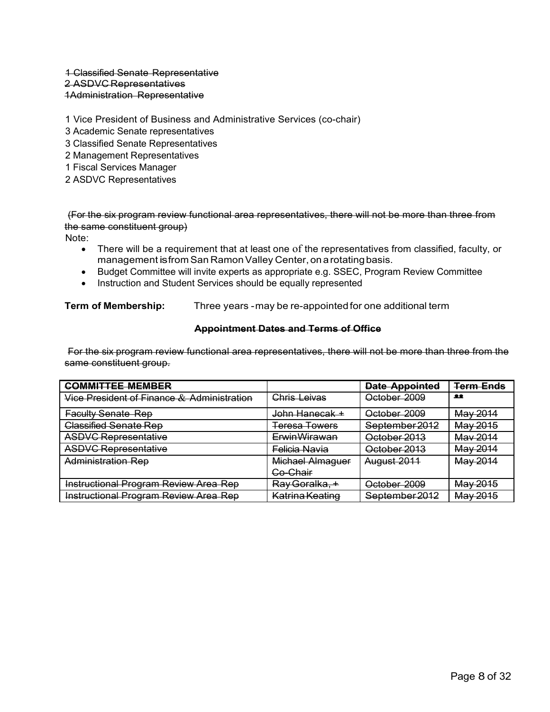### 1 Classified Senate Representative 2 ASDVC Representatives 1Administration Representative

1 Vice President of Business and Administrative Services (co-chair)

- 3 Academic Senate representatives
- 3 Classified Senate Representatives
- 2 Management Representatives
- 1 Fiscal Services Manager
- 2 ASDVC Representatives

(For the six program review functional area representatives, there will not be more than three from the same constituent group)

Note:

- There will be a requirement that at least one of the representatives from classified, faculty, or management is from San Ramon Valley Center, on a rotating basis.
- Budget Committee will invite experts as appropriate e.g. SSEC, Program Review Committee
- Instruction and Student Services should be equally represented

**Term of Membership:** Three years -may be re-appointedfor one additional term

### **Appointment Dates and Terms of Office**

For the six program review functional area representatives, there will not be more than three from the same constituent group.

| <b>COMMITTEE MEMBER</b>                               |                           | <b>Date Appointed</b> | <b>Term Ends</b> |
|-------------------------------------------------------|---------------------------|-----------------------|------------------|
| <u>Vice President of Finance &amp; Administration</u> | Chris Leivas              | October 2009          | $\bullet\bullet$ |
| <b>Faculty Senate Rep</b>                             | John Hanecak +            | October 2009          | May 2014         |
| <b>Classified Senate Rep</b>                          | <b>Teresa Towers</b>      | September 2012        | May 2015         |
| <b>ASDVC Representative</b>                           | <b>ErwinWirawan</b>       | October 2013          | May 2014         |
| <b>ASDVC Representative</b>                           | Felicia Navia             | October 2013          | May 2014         |
| <b>Administration Rep</b>                             | Michael Almaguer          | August 2011           | May 2014         |
|                                                       | Co-Chair                  |                       |                  |
| Instructional Program Review Area Rep                 | <del>Rav Goralka. +</del> | October 2009          | May 2015         |
| <b>Instructional Program Review Area Rep</b>          | Katrina Keating           | September 2012        | May 2015         |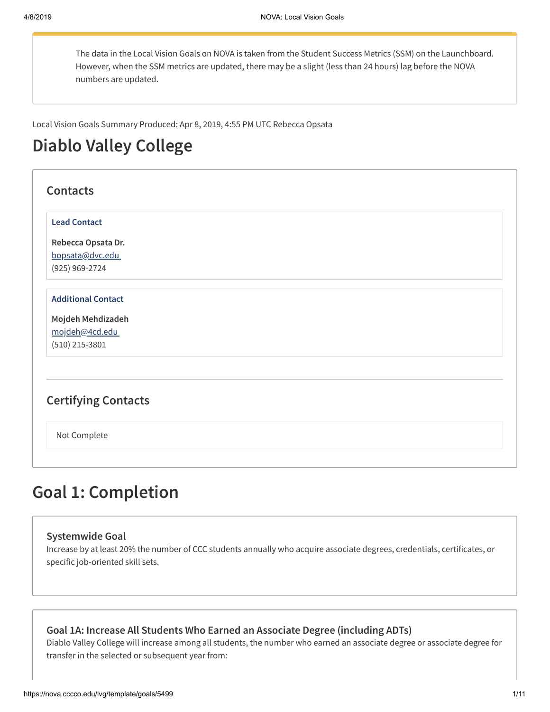The data in the Local Vision Goals on NOVA is taken from the Student Success Metrics (SSM) on the Launchboard. However, when the SSM metrics are updated, there may be a slight (less than 24 hours) lag before the NOVA numbers are updated.

Local Vision Goals Summary Produced: Apr 8, 2019, 4:55 PM UTC Rebecca Opsata

# **Diablo Valley College**

| <b>Contacts</b>            |  |
|----------------------------|--|
| <b>Lead Contact</b>        |  |
| Rebecca Opsata Dr.         |  |
| bopsata@dvc.edu            |  |
| (925) 969-2724             |  |
| <b>Additional Contact</b>  |  |
| Mojdeh Mehdizadeh          |  |
| mojdeh@4cd.edu             |  |
| $(510)$ 215-3801           |  |
|                            |  |
| <b>Certifying Contacts</b> |  |
| Not Complete               |  |
|                            |  |

# **Goal 1: Completion**

### **Systemwide Goal**

Increase by at least 20% the number of CCC students annually who acquire associate degrees, credentials, certificates, or specific job-oriented skill sets.

**Goal 1A: Increase All Students Who Earned an Associate Degree (including ADTs)**

Diablo Valley College will increase among all students, the number who earned an associate degree or associate degree for transfer in the selected or subsequent year from: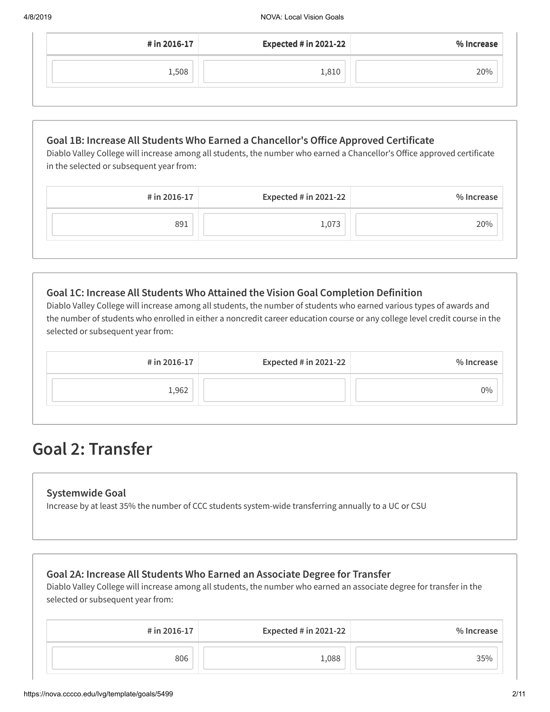| # in 2016-17 | <b>Expected # in 2021-22</b> | % Increase |
|--------------|------------------------------|------------|
| 1,508        | 1,810                        | 20%        |

## **Goal 1B: Increase All Students Who Earned a Chancellor's Oice Approved Certificate**

Diablo Valley College will increase among all students, the number who earned a Chancellor's Office approved certificate in the selected or subsequent year from:

| # in 2016-17 | <b>Expected # in 2021-22</b> | % Increase |
|--------------|------------------------------|------------|
| 891          | 1,073                        | 20%        |

## **Goal 1C: Increase All Students Who Attained the Vision Goal Completion Definition**

Diablo Valley College will increase among all students, the number of students who earned various types of awards and the number of students who enrolled in either a noncredit career education course or any college level credit course in the selected or subsequent year from:

| # in 2016-17 | <b>Expected # in 2021-22</b> | % Increase |
|--------------|------------------------------|------------|
| 1,962        |                              | $0\%$      |

# **Goal 2: Transfer**

## **Systemwide Goal**

Increase by at least 35% the number of CCC students system-wide transferring annually to a UC or CSU

## **Goal 2A: Increase All Students Who Earned an Associate Degree for Transfer**

Diablo Valley College will increase among all students, the number who earned an associate degree for transfer in the selected or subsequent year from:

| # in 2016-17 | <b>Expected # in 2021-22</b> | % Increase |
|--------------|------------------------------|------------|
| 806          | 1,088                        | 35%        |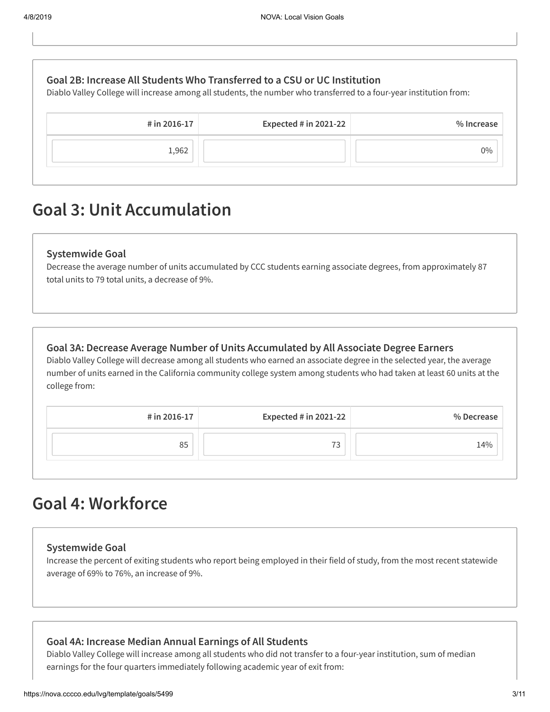| # in 2016-17 | Expected $#$ in 2021-22 | % Increase                                                                                                                                                                                       |
|--------------|-------------------------|--------------------------------------------------------------------------------------------------------------------------------------------------------------------------------------------------|
|              |                         |                                                                                                                                                                                                  |
| 1,962        |                         | $0\%$                                                                                                                                                                                            |
|              |                         | Goal 2B: Increase All Students Who Transferred to a CSU or UC Institution<br>Diablo Valley College will increase among all students, the number who transferred to a four-year institution from: |

# **Goal 3: Unit Accumulation**

### **Systemwide Goal**

Decrease the average number of units accumulated by CCC students earning associate degrees, from approximately 87 total units to 79 total units, a decrease of 9%.

### **Goal 3A: Decrease Average Number of Units Accumulated by All Associate Degree Earners**

Diablo Valley College will decrease among all students who earned an associate degree in the selected year, the average number of units earned in the California community college system among students who had taken at least 60 units at the college from:

| # in 2016-17 | <b>Expected # in 2021-22</b> | % Decrease |
|--------------|------------------------------|------------|
| 85           | 73                           | 14%        |

# **Goal 4: Workforce**

### **Systemwide Goal**

Increase the percent of exiting students who report being employed in their field of study, from the most recent statewide average of 69% to 76%, an increase of 9%.

### **Goal 4A: Increase Median Annual Earnings of All Students**

Diablo Valley College will increase among all students who did not transfer to a four-year institution, sum of median earnings for the four quarters immediately following academic year of exit from: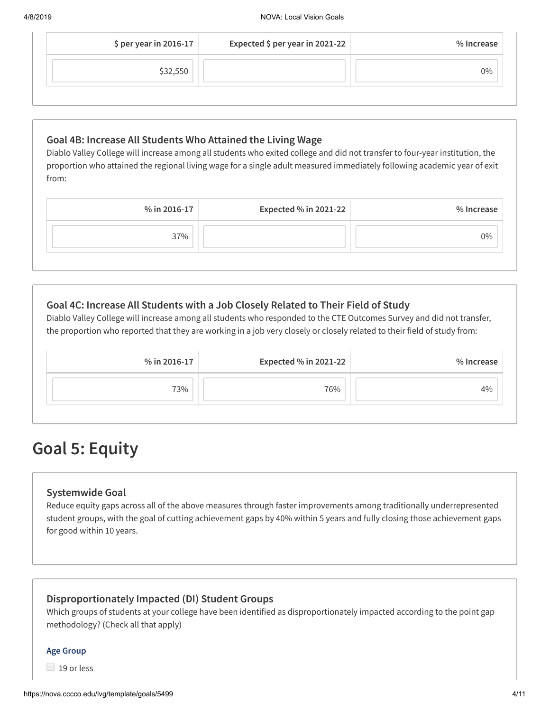| $$$ per year in 2016-17 | Expected \$ per year in 2021-22 | % Increase |
|-------------------------|---------------------------------|------------|
| \$32,550                |                                 | 0%         |

## **Goal 4B: Increase All Students Who Attained the Living Wage**

Diablo Valley College will increase among all students who exited college and did not transfer to four-year institution, the proportion who attained the regional living wage for a single adult measured immediately following academic year of exit from:

|              | % in 2016-17 |
|--------------|--------------|
| 37%<br>$0\%$ |              |

## **Goal 4C: Increase All Students with a Job Closely Related to Their Field of Study**

Diablo Valley College will increase among all students who responded to the CTE Outcomes Survey and did not transfer, the proportion who reported that they are working in a job very closely or closely related to their field of study from:

| % in 2016-17 | <b>Expected % in 2021-22</b> | % Increase |
|--------------|------------------------------|------------|
| 73%          | 76%                          | 4%         |

# **Goal 5: Equity**

## **Systemwide Goal**

Reduce equity gaps across all of the above measures through faster improvements among traditionally underrepresented student groups, with the goal of cutting achievement gaps by 40% within 5 years and fully closing those achievement gaps for good within 10 years.

## **Disproportionately Impacted (DI) Student Groups**

Which groups of students at your college have been identified as disproportionately impacted according to the point gap methodology? (Check all that apply)

### **Age Group**

 $\Box$  19 or less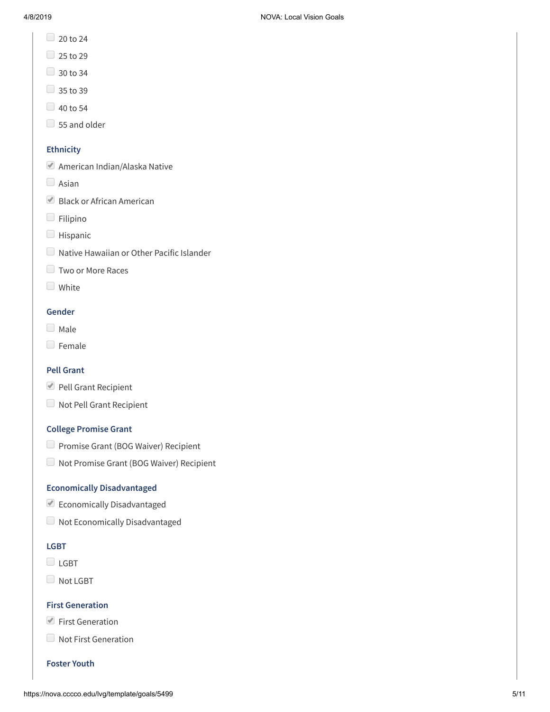- $20$  to 24
- $\Box$  25 to 29
- $\Box$  30 to 34
- $\Box$  35 to 39
- $\Box$  40 to 54
- $\Box$  55 and older

### **Ethnicity**

- American Indian/Alaska Native
- $\Box$  Asian
- Black or African American
- Filipino
- **Hispanic**
- Native Hawaiian or Other Pacific Islander
- **Two or More Races**
- **White**

### **Gender**

- $\Box$  Male
- **E** Female

### **Pell Grant**

- Pell Grant Recipient
- Not Pell Grant Recipient

### **College Promise Grant**

- **Promise Grant (BOG Waiver) Recipient**
- Not Promise Grant (BOG Waiver) Recipient

### **Economically Disadvantaged**

- Economically Disadvantaged
- Not Economically Disadvantaged

### **LGBT**

- $\Box$  LGBT
- Not LGBT

### **First Generation**

- First Generation
- Not First Generation

### **Foster Youth**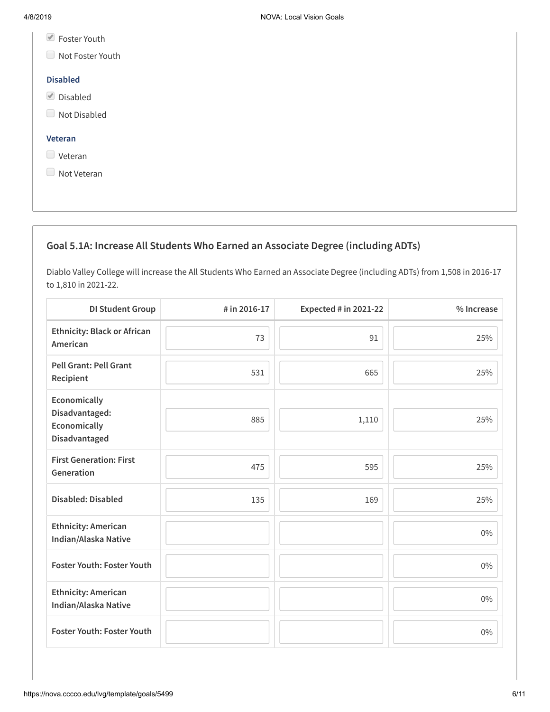- Foster Youth
- Not Foster Youth

### **Disabled**

- Disabled
- Not Disabled

### **Veteran**

- **Veteran**
- Not Veteran

## **Goal 5.1A: Increase All Students Who Earned an Associate Degree (including ADTs)**

Diablo Valley College will increase the All Students Who Earned an Associate Degree (including ADTs) from 1,508 in 2016-17 to 1,810 in 2021-22.

| <b>DI Student Group</b>                                         | # in 2016-17 | Expected # in 2021-22 | % Increase |
|-----------------------------------------------------------------|--------------|-----------------------|------------|
| <b>Ethnicity: Black or African</b><br>American                  | 73           | 91                    | 25%        |
| <b>Pell Grant: Pell Grant</b><br>Recipient                      | 531          | 665                   | 25%        |
| Economically<br>Disadvantaged:<br>Economically<br>Disadvantaged | 885          | 1,110                 | 25%        |
| <b>First Generation: First</b><br>Generation                    | 475          | 595                   | 25%        |
| <b>Disabled: Disabled</b>                                       | 135          | 169                   | 25%        |
| <b>Ethnicity: American</b><br>Indian/Alaska Native              |              |                       | $0\%$      |
| <b>Foster Youth: Foster Youth</b>                               |              |                       | $0\%$      |
| <b>Ethnicity: American</b><br>Indian/Alaska Native              |              |                       | $0\%$      |
| <b>Foster Youth: Foster Youth</b>                               |              |                       | $0\%$      |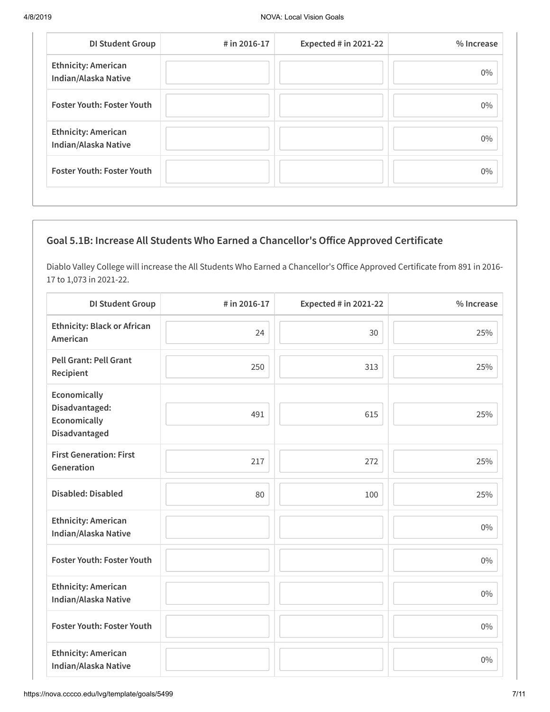| <b>DI Student Group</b>                            | # in 2016-17 | Expected # in 2021-22 | % Increase |
|----------------------------------------------------|--------------|-----------------------|------------|
| <b>Ethnicity: American</b><br>Indian/Alaska Native |              |                       | $0\%$      |
| <b>Foster Youth: Foster Youth</b>                  |              |                       | $0\%$      |
| <b>Ethnicity: American</b><br>Indian/Alaska Native |              |                       | $0\%$      |
| <b>Foster Youth: Foster Youth</b>                  |              |                       | $0\%$      |

## **Goal 5.1B: Increase All Students Who Earned a Chancellor's Oice Approved Certificate**

Diablo Valley College will increase the All Students Who Earned a Chancellor's Office Approved Certificate from 891 in 2016-17 to 1,073 in 2021-22.

| <b>DI Student Group</b>                                         | # in 2016-17 | <b>Expected # in 2021-22</b> | % Increase |
|-----------------------------------------------------------------|--------------|------------------------------|------------|
| <b>Ethnicity: Black or African</b><br>American                  | 24           | 30                           | 25%        |
| <b>Pell Grant: Pell Grant</b><br>Recipient                      | 250          | 313                          | 25%        |
| Economically<br>Disadvantaged:<br>Economically<br>Disadvantaged | 491          | 615                          | 25%        |
| <b>First Generation: First</b><br>Generation                    | 217          | 272                          | 25%        |
| <b>Disabled: Disabled</b>                                       | 80           | 100                          | 25%        |
| <b>Ethnicity: American</b><br>Indian/Alaska Native              |              |                              | $0\%$      |
| <b>Foster Youth: Foster Youth</b>                               |              |                              | $0\%$      |
| <b>Ethnicity: American</b><br>Indian/Alaska Native              |              |                              | $0\%$      |
| Foster Youth: Foster Youth                                      |              |                              | $0\%$      |
| <b>Ethnicity: American</b><br>Indian/Alaska Native              |              |                              | $0\%$      |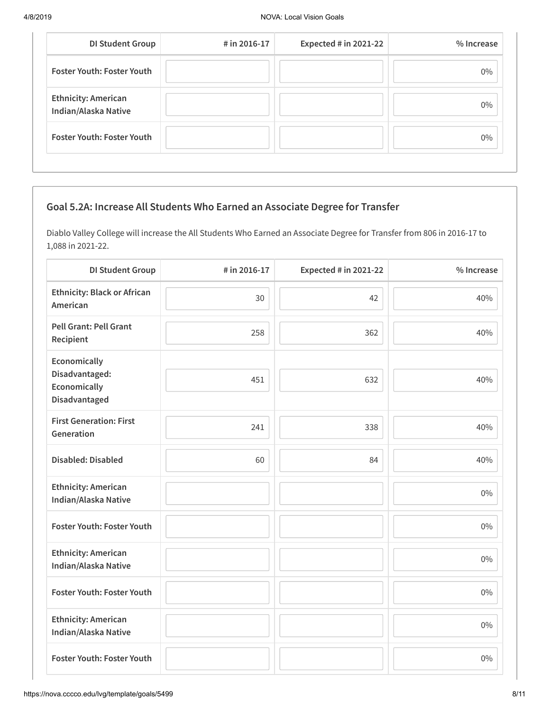| <b>DI Student Group</b>                            | # in 2016-17 | <b>Expected # in 2021-22</b> | % Increase |
|----------------------------------------------------|--------------|------------------------------|------------|
| <b>Foster Youth: Foster Youth</b>                  |              |                              | $0\%$      |
| <b>Ethnicity: American</b><br>Indian/Alaska Native |              |                              | $0\%$      |
| <b>Foster Youth: Foster Youth</b>                  |              |                              | $0\%$      |

## **Goal 5.2A: Increase All Students Who Earned an Associate Degree for Transfer**

Diablo Valley College will increase the All Students Who Earned an Associate Degree for Transfer from 806 in 2016-17 to 1,088 in 2021-22.

| <b>DI Student Group</b>                                         | # in 2016-17 | <b>Expected # in 2021-22</b> | % Increase |
|-----------------------------------------------------------------|--------------|------------------------------|------------|
| <b>Ethnicity: Black or African</b><br>American                  | 30           | 42                           | 40%        |
| <b>Pell Grant: Pell Grant</b><br>Recipient                      | 258          | 362                          | 40%        |
| Economically<br>Disadvantaged:<br>Economically<br>Disadvantaged | 451          | 632                          | 40%        |
| <b>First Generation: First</b><br>Generation                    | 241          | 338                          | 40%        |
| <b>Disabled: Disabled</b>                                       | 60           | 84                           | 40%        |
| <b>Ethnicity: American</b><br>Indian/Alaska Native              |              |                              | $0\%$      |
| Foster Youth: Foster Youth                                      |              |                              | $0\%$      |
| <b>Ethnicity: American</b><br>Indian/Alaska Native              |              |                              | $0\%$      |
| <b>Foster Youth: Foster Youth</b>                               |              |                              | $0\%$      |
| <b>Ethnicity: American</b><br>Indian/Alaska Native              |              |                              | $0\%$      |
| Foster Youth: Foster Youth                                      |              |                              | $0\%$      |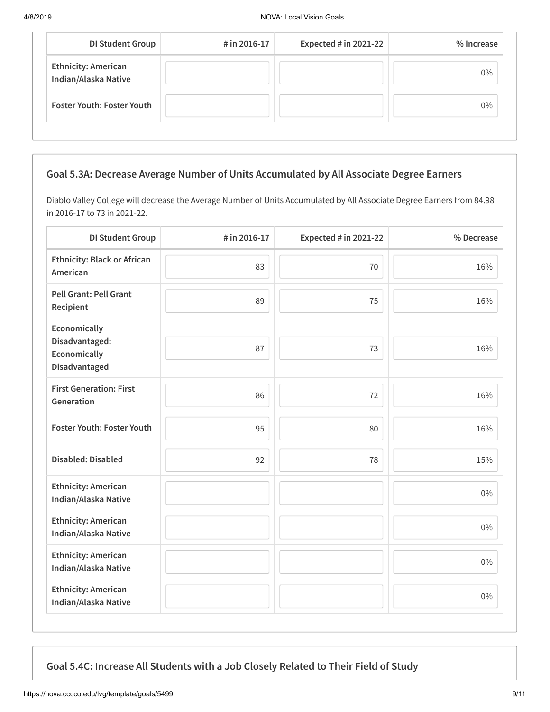| <b>DI Student Group</b>                            | # in 2016-17 | Expected $#$ in 2021-22 | % Increase |
|----------------------------------------------------|--------------|-------------------------|------------|
| <b>Ethnicity: American</b><br>Indian/Alaska Native |              |                         | $0\%$      |
| <b>Foster Youth: Foster Youth</b>                  |              |                         | $0\%$      |

## **Goal 5.3A: Decrease Average Number of Units Accumulated by All Associate Degree Earners**

Diablo Valley College will decrease the Average Number of Units Accumulated by All Associate Degree Earners from 84.98 in 2016-17 to 73 in 2021-22.

| <b>DI Student Group</b>                                         | # in 2016-17 | <b>Expected # in 2021-22</b> | % Decrease |
|-----------------------------------------------------------------|--------------|------------------------------|------------|
| <b>Ethnicity: Black or African</b><br>American                  | 83           | 70                           | 16%        |
| <b>Pell Grant: Pell Grant</b><br>Recipient                      | 89           | 75                           | 16%        |
| Economically<br>Disadvantaged:<br>Economically<br>Disadvantaged | 87           | 73                           | 16%        |
| <b>First Generation: First</b><br>Generation                    | 86           | 72                           | 16%        |
| <b>Foster Youth: Foster Youth</b>                               | 95           | 80                           | 16%        |
| <b>Disabled: Disabled</b>                                       | 92           | 78                           | 15%        |
| <b>Ethnicity: American</b><br>Indian/Alaska Native              |              |                              | $0\%$      |
| <b>Ethnicity: American</b><br>Indian/Alaska Native              |              |                              | $0\%$      |
| <b>Ethnicity: American</b><br>Indian/Alaska Native              |              |                              | $0\%$      |
| <b>Ethnicity: American</b><br>Indian/Alaska Native              |              |                              | $0\%$      |

**Goal 5.4C: Increase All Students with a Job Closely Related to Their Field of Study**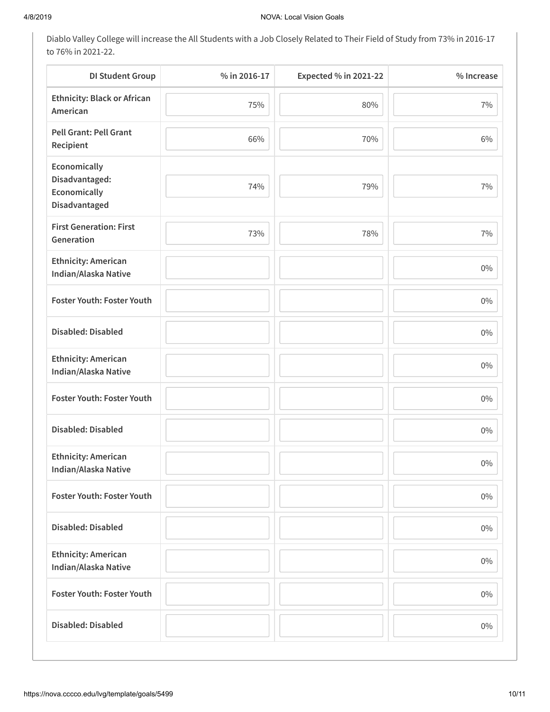Diablo Valley College will increase the All Students with a Job Closely Related to Their Field of Study from 73% in 2016-17 to 76% in 2021-22.

| <b>DI Student Group</b>                                         | % in 2016-17 | Expected % in 2021-22 | % Increase |
|-----------------------------------------------------------------|--------------|-----------------------|------------|
| <b>Ethnicity: Black or African</b><br>American                  | 75%          | 80%                   | 7%         |
| <b>Pell Grant: Pell Grant</b><br>Recipient                      | 66%          | 70%                   | 6%         |
| Economically<br>Disadvantaged:<br>Economically<br>Disadvantaged | 74%          | 79%                   | 7%         |
| <b>First Generation: First</b><br>Generation                    | 73%          | 78%                   | 7%         |
| <b>Ethnicity: American</b><br>Indian/Alaska Native              |              |                       | $0\%$      |
| Foster Youth: Foster Youth                                      |              |                       | $0\%$      |
| <b>Disabled: Disabled</b>                                       |              |                       | $0\%$      |
| <b>Ethnicity: American</b><br>Indian/Alaska Native              |              |                       | $0\%$      |
| Foster Youth: Foster Youth                                      |              |                       | $0\%$      |
| <b>Disabled: Disabled</b>                                       |              |                       | $0\%$      |
| <b>Ethnicity: American</b><br>Indian/Alaska Native              |              |                       | $0\%$      |
| Foster Youth: Foster Youth                                      |              |                       | $0\%$      |
| <b>Disabled: Disabled</b>                                       |              |                       | $0\%$      |
| <b>Ethnicity: American</b><br>Indian/Alaska Native              |              |                       | $0\%$      |
| Foster Youth: Foster Youth                                      |              |                       | $0\%$      |
| <b>Disabled: Disabled</b>                                       |              |                       | $0\%$      |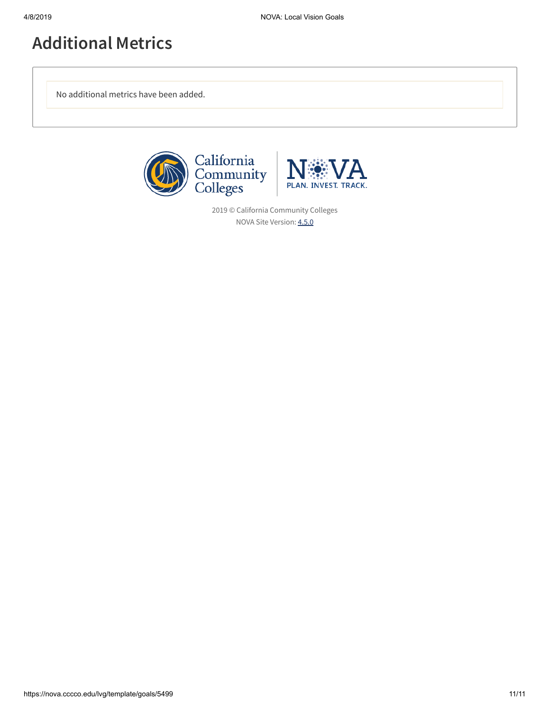# **Additional Metrics**

No additional metrics have been added.





2019 © California Community Colleges NOVA Site Version: [4.5.0](https://nova.cccco.edu/releaseNotes)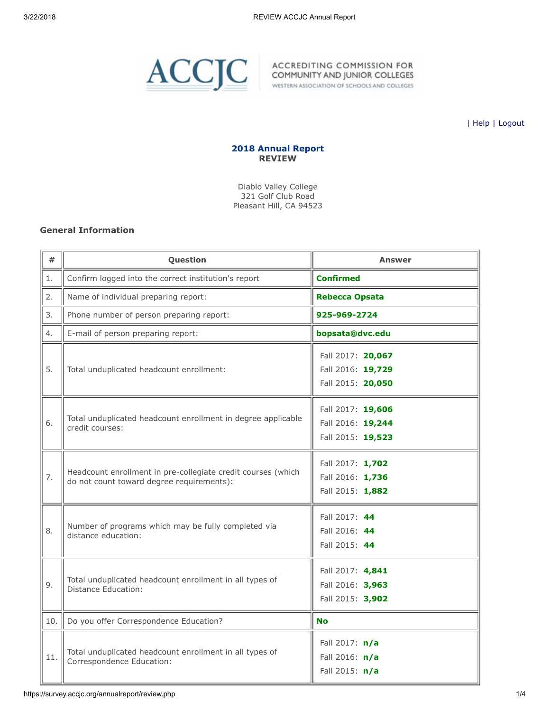

WESTERN ASSOCIATION OF SCHOOLS AND COLLEGES

| [Help](javascript:newPopup() | [Logout](https://survey.accjc.org/annualreport/logout.php)

### 2018 Annual Report REVIEW

Diablo Valley College 321 Golf Club Road Pleasant Hill, CA 94523

### General Information

| #   | Question                                                                                                  | <b>Answer</b>                                               |
|-----|-----------------------------------------------------------------------------------------------------------|-------------------------------------------------------------|
| 1.  | Confirm logged into the correct institution's report                                                      | <b>Confirmed</b>                                            |
| 2.  | Name of individual preparing report:                                                                      | <b>Rebecca Opsata</b>                                       |
| 3.  | Phone number of person preparing report:                                                                  | 925-969-2724                                                |
| 4.  | E-mail of person preparing report:                                                                        | bopsata@dvc.edu                                             |
| 5.  | Total unduplicated headcount enrollment:                                                                  | Fall 2017: 20,067<br>Fall 2016: 19,729<br>Fall 2015: 20,050 |
| 6.  | Total unduplicated headcount enrollment in degree applicable<br>credit courses:                           | Fall 2017: 19,606<br>Fall 2016: 19,244<br>Fall 2015: 19,523 |
| 7.  | Headcount enrollment in pre-collegiate credit courses (which<br>do not count toward degree requirements): | Fall 2017: 1,702<br>Fall 2016: 1,736<br>Fall 2015: 1,882    |
| 8.  | Number of programs which may be fully completed via<br>distance education:                                | Fall 2017: 44<br>Fall 2016: 44<br>Fall 2015: 44             |
| 9.  | Total unduplicated headcount enrollment in all types of<br>Distance Education:                            | Fall 2017: 4,841<br>Fall 2016: 3,963<br>Fall 2015: 3,902    |
| 10. | Do you offer Correspondence Education?                                                                    | <b>No</b>                                                   |
| 11. | Total unduplicated headcount enrollment in all types of<br>Correspondence Education:                      | Fall 2017: n/a<br>Fall 2016: n/a<br>Fall 2015: n/a          |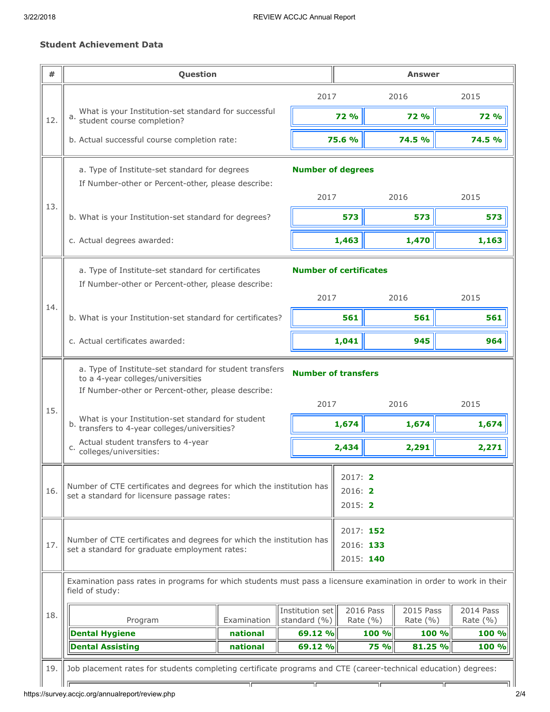### Student Achievement Data

| #   | Question                                                                                                                                                                                                                                              |                      |                                       | <b>Answer</b>                       |                           |                           |                           |
|-----|-------------------------------------------------------------------------------------------------------------------------------------------------------------------------------------------------------------------------------------------------------|----------------------|---------------------------------------|-------------------------------------|---------------------------|---------------------------|---------------------------|
|     |                                                                                                                                                                                                                                                       |                      | 2017                                  |                                     |                           | 2016                      | 2015                      |
| 12. | What is your Institution-set standard for successful<br>a.<br>student course completion?                                                                                                                                                              |                      |                                       | <b>72 %</b>                         |                           | <b>72 %</b>               | <b>72 %</b>               |
|     | b. Actual successful course completion rate:                                                                                                                                                                                                          |                      |                                       | 75.6 %                              |                           | <b>74.5 %</b>             | 74.5 %                    |
|     | a. Type of Institute-set standard for degrees<br>If Number-other or Percent-other, please describe:                                                                                                                                                   |                      | <b>Number of degrees</b>              |                                     |                           |                           |                           |
| 13. |                                                                                                                                                                                                                                                       |                      | 2017                                  |                                     |                           | 2016                      | 2015                      |
|     | b. What is your Institution-set standard for degrees?                                                                                                                                                                                                 |                      |                                       | 573                                 |                           | 573                       | 573                       |
|     | c. Actual degrees awarded:                                                                                                                                                                                                                            |                      |                                       | 1,463                               |                           | 1,470                     | 1,163                     |
|     | a. Type of Institute-set standard for certificates<br>If Number-other or Percent-other, please describe:                                                                                                                                              |                      | <b>Number of certificates</b><br>2017 |                                     |                           | 2016                      | 2015                      |
| 14. | b. What is your Institution-set standard for certificates?                                                                                                                                                                                            |                      |                                       | 561                                 |                           | 561                       | 561                       |
|     | c. Actual certificates awarded:                                                                                                                                                                                                                       |                      |                                       | 1,041                               |                           | 945                       | 964                       |
| 15. | a. Type of Institute-set standard for student transfers<br>to a 4-year colleges/universities<br>If Number-other or Percent-other, please describe:<br>What is your Institution-set standard for student<br>transfers to 4-year colleges/universities? |                      | <b>Number of transfers</b><br>2017    | 1,674                               |                           | 2016<br>1,674             | 2015<br>1,674             |
|     | Actual student transfers to 4-year<br>C.<br>colleges/universities:                                                                                                                                                                                    |                      |                                       | 2,434                               |                           | 2,291                     | 2,271                     |
| 16. | 2017: 2<br>Number of CTE certificates and degrees for which the institution has<br>2016: 2<br>set a standard for licensure passage rates:<br>2015: 2                                                                                                  |                      |                                       |                                     |                           |                           |                           |
| 17. | Number of CTE certificates and degrees for which the institution has<br>set a standard for graduate employment rates:                                                                                                                                 |                      |                                       | 2017: 152<br>2016: 133<br>2015: 140 |                           |                           |                           |
|     | Examination pass rates in programs for which students must pass a licensure examination in order to work in their<br>field of study:                                                                                                                  |                      |                                       |                                     |                           |                           |                           |
| 18. | Program                                                                                                                                                                                                                                               | Examination          | Institution set<br>standard (%)       |                                     | 2016 Pass<br>Rate $(\% )$ | 2015 Pass<br>Rate $(\% )$ | 2014 Pass<br>Rate $(\% )$ |
|     | <b>Dental Hygiene</b><br><b>Dental Assisting</b>                                                                                                                                                                                                      | national<br>national | 69.12 %<br>69.12 %                    |                                     | 100 %<br><b>75 %</b>      | 100 %<br>81.25 %          | 100 %<br>100 %            |
| 19. | Job placement rates for students completing certificate programs and CTE (career-technical education) degrees:                                                                                                                                        | TГ                   | ΤΓ                                    |                                     | ٦г                        |                           | ıг                        |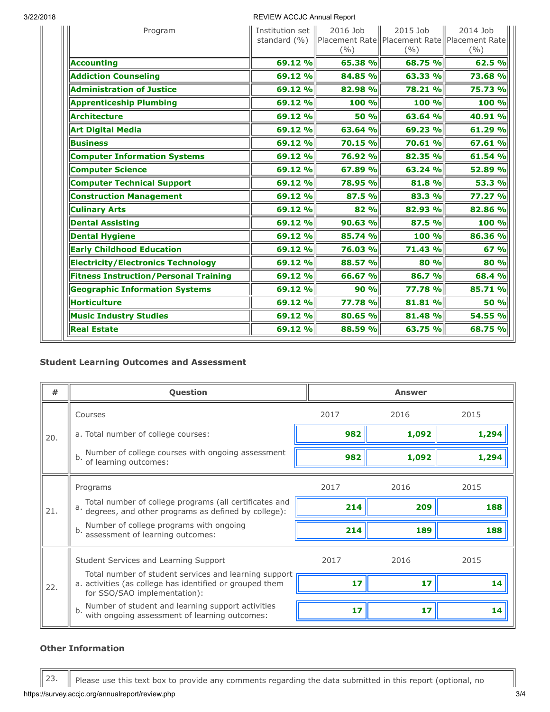### 3/22/2018 REVIEW ACCJC Annual Report

| Program                                      | Institution set   <br>standard (%) | 2016 Job<br>(9/0) | 2015 Job<br>Placement Rate   Placement Rate   Placement Rate<br>(9/0) | 2014 Job<br>(%) |
|----------------------------------------------|------------------------------------|-------------------|-----------------------------------------------------------------------|-----------------|
| <b>Accounting</b>                            | 69.12 %                            | 65.38 %           | 68.75 %                                                               | 62.5%           |
| <b>Addiction Counseling</b>                  | 69.12 %                            | 84.85 %           | 63.33 %                                                               | 73.68 %         |
| <b>Administration of Justice</b>             | 69.12 %                            | 82.98 %           | 78.21 %                                                               | 75.73 %         |
| <b>Apprenticeship Plumbing</b>               | 69.12 %                            | 100 %             | 100 %                                                                 | 100 %           |
| Architecture                                 | 69.12 %                            | 50 %              | 63.64 %                                                               | 40.91 %         |
| <b>Art Digital Media</b>                     | 69.12 %                            | 63.64 %           | 69.23 %                                                               | 61.29 %         |
| <b>Business</b>                              | 69.12 %                            | 70.15 %           | 70.61 %                                                               | 67.61 %         |
| <b>Computer Information Systems</b>          | 69.12 %                            | 76.92 %           | 82.35 %                                                               | 61.54 %         |
| <b>Computer Science</b>                      | 69.12 %                            | 67.89 %           | 63.24 %                                                               | 52.89 %         |
| <b>Computer Technical Support</b>            | 69.12 %                            | 78.95 %           | 81.8%                                                                 | 53.3 %          |
| <b>Construction Management</b>               | 69.12 %                            | 87.5 %            | 83.3 %                                                                | 77.27 %         |
| <b>Culinary Arts</b>                         | 69.12 %                            | 82 %              | 82.93 %                                                               | 82.86 %         |
| <b>Dental Assisting</b>                      | 69.12 %                            | 90.63 %           | 87.5 %                                                                | 100 %           |
| <b>Dental Hygiene</b>                        | 69.12 %                            | 85.74 %           | 100 %                                                                 | 86.36 %         |
| <b>Early Childhood Education</b>             | 69.12 %                            | 76.03 %           | 71.43 %                                                               | 67%             |
| <b>Electricity/Electronics Technology</b>    | 69.12 %                            | 88.57 %           | 80 %                                                                  | 80 %            |
| <b>Fitness Instruction/Personal Training</b> | 69.12 %                            | 66.67 %           | 86.7 %                                                                | 68.4 %          |
| <b>Geographic Information Systems</b>        | 69.12 %                            | 90 %              | 77.78 %                                                               | 85.71 %         |
| Horticulture                                 | 69.12 %                            | 77.78 %           | 81.81 %                                                               | 50 %            |
| <b>Music Industry Studies</b>                | 69.12 %                            | 80.65 %           | 81.48 %                                                               | 54.55 %         |
| <b>Real Estate</b>                           | 69.12 %                            | 88.59 %           | 63.75 %                                                               | 68.75 %         |

### Student Learning Outcomes and Assessment

| #   | Question                                                                                                                                          |      | <b>Answer</b> |       |
|-----|---------------------------------------------------------------------------------------------------------------------------------------------------|------|---------------|-------|
|     | Courses                                                                                                                                           | 2017 | 2016          | 2015  |
| 20. | a. Total number of college courses:                                                                                                               | 982  | 1,092         | 1,294 |
|     | Number of college courses with ongoing assessment<br>b.<br>of learning outcomes:                                                                  | 982  | 1,092         | 1,294 |
|     | Programs                                                                                                                                          | 2017 | 2016          | 2015  |
| 21. | Total number of college programs (all certificates and<br>a. degrees, and other programs as defined by college):                                  | 214  | 209           | 188   |
|     | Number of college programs with ongoing<br>b.<br>assessment of learning outcomes:                                                                 | 214  | 189           | 188   |
|     | Student Services and Learning Support                                                                                                             | 2017 | 2016          | 2015  |
| 22. | Total number of student services and learning support<br>a. activities (as college has identified or grouped them<br>for SSO/SAO implementation): | 17   | 17            | 14    |
|     | Number of student and learning support activities<br>b.<br>with ongoing assessment of learning outcomes:                                          | 17   | 17            | 14    |

### Other Information

 $\parallel$  23.  $\parallel$  Please use this text box to provide any comments regarding the data submitted in this report (optional, no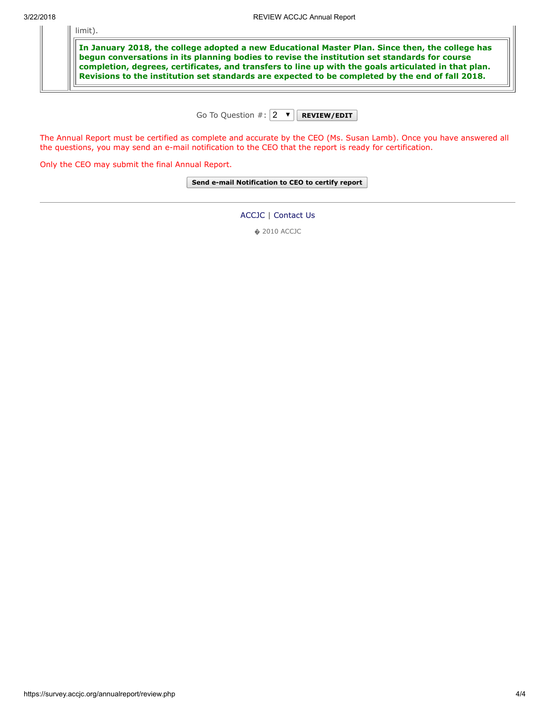limit).

In January 2018, the college adopted a new Educational Master Plan. Since then, the college has begun conversations in its planning bodies to revise the institution set standards for course completion, degrees, certificates, and transfers to line up with the goals articulated in that plan. Revisions to the institution set standards are expected to be completed by the end of fall 2018.

Go To Question  $\#$ :  $\boxed{2 \quad \blacktriangledown}$  REVIEW/EDIT

The Annual Report must be certified as complete and accurate by the CEO (Ms. Susan Lamb). Once you have answered all the questions, you may send an e-mail notification to the CEO that the report is ready for certification.

Only the CEO may submit the final Annual Report.

Send e-mail Notification to CEO to certify report

[ACCJC](http://www.accjc.org/) | [Contact Us](https://survey.accjc.org/annualreport/contactus.php)

� 2010 ACCJC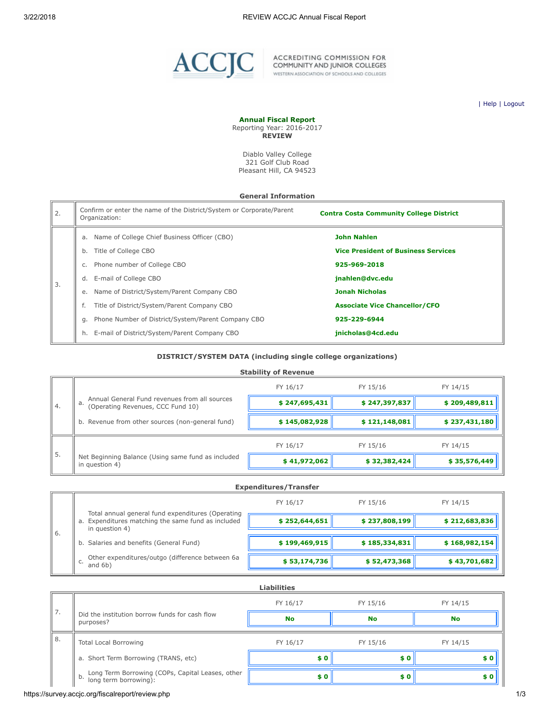

ACCREDITING COMMISSION FOR<br>COMMUNITY AND JUNIOR COLLEGES<br>WESTERN ASSOCIATION OF SCHOOLS AND COLLEGES

| [Help](javascript:newPopup() | [Logout](https://survey.accjc.org/fiscalreport/logout.php)

#### Annual Fiscal Report Reporting Year: 2016-2017

**REVIEW** 

Diablo Valley College 321 Golf Club Road Pleasant Hill, CA 94523

#### General Information

| 2. | Confirm or enter the name of the District/System or Corporate/Parent<br>Organization: | <b>Contra Costa Community College District</b> |
|----|---------------------------------------------------------------------------------------|------------------------------------------------|
|    | a. Name of College Chief Business Officer (CBO)                                       | <b>John Nahlen</b>                             |
|    | Title of College CBO<br>b.                                                            | <b>Vice President of Business Services</b>     |
|    | Phone number of College CBO                                                           | 925-969-2018                                   |
| 3. | E-mail of College CBO<br>d.                                                           | jnahlen@dvc.edu                                |
|    | Name of District/System/Parent Company CBO<br>e.                                      | <b>Jonah Nicholas</b>                          |
|    | Title of District/System/Parent Company CBO                                           | <b>Associate Vice Chancellor/CFO</b>           |
|    | Phone Number of District/System/Parent Company CBO<br>а.                              | 925-229-6944                                   |
|    | E-mail of District/System/Parent Company CBO                                          | jnicholas@4cd.edu                              |

#### DISTRICT/SYSTEM DATA (including single college organizations)

#### Stability of Revenue

|                 |                                                                                          | FY 16/17      | FY 15/16      | FY 14/15      |
|-----------------|------------------------------------------------------------------------------------------|---------------|---------------|---------------|
| 4.              | Annual General Fund revenues from all sources<br>a.<br>(Operating Revenues, CCC Fund 10) | \$247,695,431 | \$247,397,837 | \$209,489,811 |
|                 | b. Revenue from other sources (non-general fund)                                         | \$145,082,928 | \$121,148,081 | \$237,431,180 |
|                 |                                                                                          | FY 16/17      | FY 15/16      | FY 14/15      |
| $\frac{1}{5}$ . | Net Beginning Balance (Using same fund as included<br>in question 4)                     | \$41,972,062  | \$32,382,424  | \$35,576,449  |

|    | <b>Expenditures/Transfer</b>                                                                                              |               |               |               |  |  |
|----|---------------------------------------------------------------------------------------------------------------------------|---------------|---------------|---------------|--|--|
|    |                                                                                                                           | FY 16/17      | FY 15/16      | FY 14/15      |  |  |
|    | Total annual general fund expenditures (Operating<br>a. Expenditures matching the same fund as included<br>in question 4) |               |               |               |  |  |
|    |                                                                                                                           | \$252,644,651 | \$237,808,199 | \$212,683,836 |  |  |
| 6. |                                                                                                                           |               |               |               |  |  |
|    | b. Salaries and benefits (General Fund)                                                                                   | \$199,469,915 | \$185,334,831 | \$168,982,154 |  |  |
|    | Other expenditures/outgo (difference between 6a                                                                           |               |               |               |  |  |
|    | C.<br>and $6b)$                                                                                                           | \$53,174,736  | \$52,473,368  | \$43,701,682  |  |  |
|    |                                                                                                                           |               |               |               |  |  |

|              | <b>Liabilities</b>                                                              |           |           |           |  |  |
|--------------|---------------------------------------------------------------------------------|-----------|-----------|-----------|--|--|
|              | Did the institution borrow funds for cash flow<br>purposes?                     | FY 16/17  | FY 15/16  | FY 14/15  |  |  |
| $\sqrt{ }$ . |                                                                                 | <b>No</b> | <b>No</b> | <b>No</b> |  |  |
| 8.           | <b>Total Local Borrowing</b>                                                    | FY 16/17  | FY 15/16  | FY 14/15  |  |  |
|              | a. Short Term Borrowing (TRANS, etc)                                            | \$0       |           | \$0       |  |  |
|              | Long Term Borrowing (COPs, Capital Leases, other<br>b.<br>long term borrowing): | \$0       | \$0       | \$0       |  |  |

https://survey.accjc.org/fiscalreport/review.php 1/3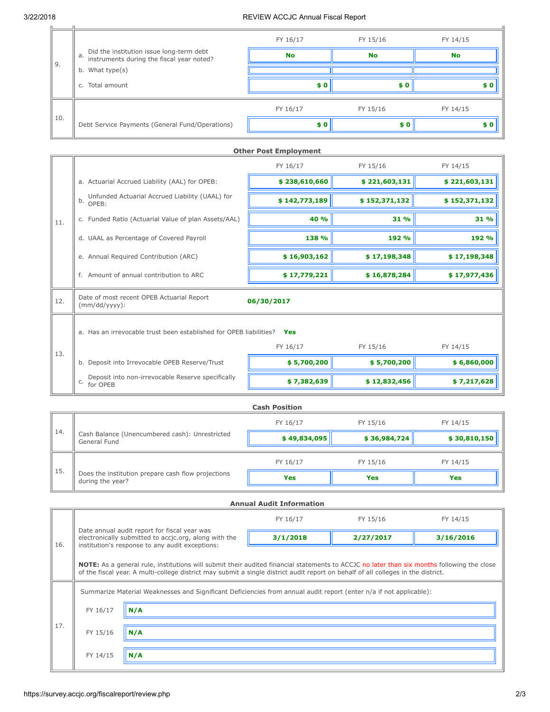$|L|$ 

 $\perp$ 

### 3/22/2018 REVIEW ACCJC Annual Fiscal Report

|      |                                                                                                                | FY 16/17           | FY 15/16  | FY 14/15  |
|------|----------------------------------------------------------------------------------------------------------------|--------------------|-----------|-----------|
| l 9. | Did the institution issue long-term debt<br>instruments during the fiscal year noted?<br>a.<br>b. What type(s) | <b>No</b>          | <b>No</b> | <b>No</b> |
|      |                                                                                                                |                    |           |           |
|      | Total amount<br>C.                                                                                             | \$0                | \$0       | s o       |
| 10.  |                                                                                                                | FY 16/17           | FY 15/16  | FY 14/15  |
|      | Debt Service Payments (General Fund/Operations)                                                                | $\boldsymbol{s}$ 0 | \$0       | \$0       |

|     | <b>Other Post Employment</b>                                        |               |               |               |  |
|-----|---------------------------------------------------------------------|---------------|---------------|---------------|--|
|     |                                                                     | FY 16/17      | FY 15/16      | FY 14/15      |  |
|     | a. Actuarial Accrued Liability (AAL) for OPEB:                      | \$238,610,660 | \$221,603,131 | \$221,603,131 |  |
|     | Unfunded Actuarial Accrued Liability (UAAL) for<br>b.<br>OPEB:      | \$142,773,189 | \$152,371,132 | \$152,371,132 |  |
| 11. | c. Funded Ratio (Actuarial Value of plan Assets/AAL)                | 40 %          | 31 %          | 31 %          |  |
|     | d. UAAL as Percentage of Covered Payroll                            | 138 %         | 192 %         | 192 %         |  |
|     | e. Annual Required Contribution (ARC)                               | \$16,903,162  | \$17,198,348  | \$17,198,348  |  |
|     | f. Amount of annual contribution to ARC                             | \$17,779,221  | \$16,878,284  | \$17,977,436  |  |
| 12. | Date of most recent OPEB Actuarial Report<br>$(mm/dd/yyyy)$ :       | 06/30/2017    |               |               |  |
|     | a. Has an irrevocable trust been established for OPEB liabilities?  | Yes           |               |               |  |
| 13. |                                                                     | FY 16/17      | FY 15/16      | FY 14/15      |  |
|     | b. Deposit into Irrevocable OPEB Reserve/Trust                      | \$5,700,200   | \$5,700,200   | \$6,860,000   |  |
|     | Deposit into non-irrevocable Reserve specifically<br>C.<br>for OPEB | \$7,382,639   | \$12,832,456  | \$7,217,628   |  |

|     | <b>Cash Position</b>                                                   |              |              |              |  |  |
|-----|------------------------------------------------------------------------|--------------|--------------|--------------|--|--|
|     |                                                                        | FY 16/17     | FY 15/16     | FY 14/15     |  |  |
| 14. | Cash Balance (Unencumbered cash): Unrestricted<br>General Fund         | \$49,834,095 | \$36,984,724 | \$30,810,150 |  |  |
|     |                                                                        | FY 16/17     | FY 15/16     | FY 14/15     |  |  |
| 15. | Does the institution prepare cash flow projections<br>during the year? | Yes          | Yes          | <b>Yes</b>   |  |  |

|     | <b>Annual Audit Information</b>                                                                                                                                                                                                                                                 |                                                                                                                                                          |          |           |           |  |  |
|-----|---------------------------------------------------------------------------------------------------------------------------------------------------------------------------------------------------------------------------------------------------------------------------------|----------------------------------------------------------------------------------------------------------------------------------------------------------|----------|-----------|-----------|--|--|
|     |                                                                                                                                                                                                                                                                                 |                                                                                                                                                          | FY 16/17 | FY 15/16  | FY 14/15  |  |  |
| 16. |                                                                                                                                                                                                                                                                                 | Date annual audit report for fiscal year was<br>electronically submitted to accic.org, along with the<br>institution's response to any audit exceptions: | 3/1/2018 | 2/27/2017 | 3/16/2016 |  |  |
|     | NOTE: As a general rule, institutions will submit their audited financial statements to ACCJC no later than six months following the close<br>of the fiscal year. A multi-college district may submit a single district audit report on behalf of all colleges in the district. |                                                                                                                                                          |          |           |           |  |  |
|     | Summarize Material Weaknesses and Significant Deficiencies from annual audit report (enter n/a if not applicable):                                                                                                                                                              |                                                                                                                                                          |          |           |           |  |  |
|     | FY 16/17                                                                                                                                                                                                                                                                        | N/A                                                                                                                                                      |          |           |           |  |  |
| 17. | FY 15/16                                                                                                                                                                                                                                                                        | N/A                                                                                                                                                      |          |           |           |  |  |
|     | FY 14/15                                                                                                                                                                                                                                                                        | N/A                                                                                                                                                      |          |           |           |  |  |
|     |                                                                                                                                                                                                                                                                                 |                                                                                                                                                          |          |           |           |  |  |

JL.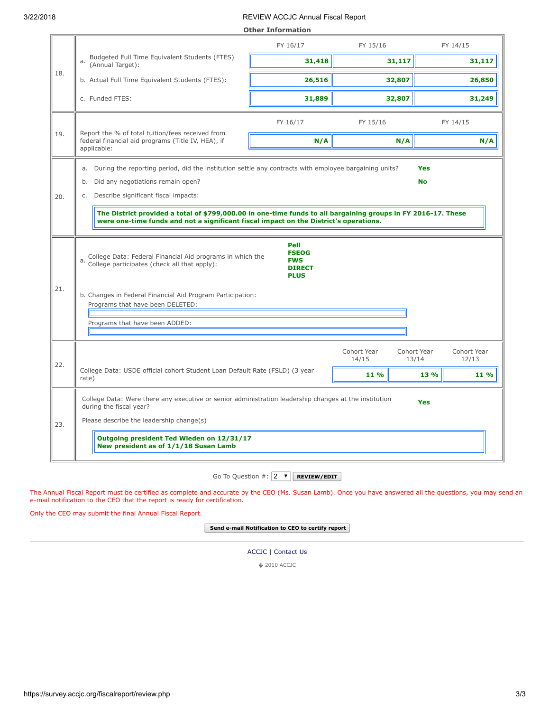#### 3/22/2018 REVIEW ACCJC Annual Fiscal Report

|     | <b>Other Information</b>                                                                                                                                                                                                                                                                                                                                                                                       |                                                                    |                              |                                                              |  |  |
|-----|----------------------------------------------------------------------------------------------------------------------------------------------------------------------------------------------------------------------------------------------------------------------------------------------------------------------------------------------------------------------------------------------------------------|--------------------------------------------------------------------|------------------------------|--------------------------------------------------------------|--|--|
|     |                                                                                                                                                                                                                                                                                                                                                                                                                | FY 16/17                                                           | FY 15/16                     | FY 14/15                                                     |  |  |
|     | Budgeted Full Time Equivalent Students (FTES)<br>a.<br>(Annual Target):                                                                                                                                                                                                                                                                                                                                        | 31,418                                                             | 31,117                       | 31,117                                                       |  |  |
| 18. | b. Actual Full Time Equivalent Students (FTES):                                                                                                                                                                                                                                                                                                                                                                | 26,516                                                             | 32,807                       | 26,850                                                       |  |  |
|     | c. Funded FTES:                                                                                                                                                                                                                                                                                                                                                                                                | 31,889                                                             | 32,807                       | 31,249                                                       |  |  |
|     |                                                                                                                                                                                                                                                                                                                                                                                                                | FY 16/17                                                           | FY 15/16                     | FY 14/15                                                     |  |  |
| 19. | Report the % of total tuition/fees received from<br>federal financial aid programs (Title IV, HEA), if<br>applicable:                                                                                                                                                                                                                                                                                          | N/A                                                                | N/A                          | N/A                                                          |  |  |
| 20. | During the reporting period, did the institution settle any contracts with employee bargaining units?<br>а.<br>Did any negotiations remain open?<br>b.<br>Describe significant fiscal impacts:<br>C.<br>The District provided a total of \$799,000.00 in one-time funds to all bargaining groups in FY 2016-17. These<br>were one-time funds and not a significant fiscal impact on the District's operations. |                                                                    |                              | <b>Yes</b><br><b>No</b>                                      |  |  |
|     | College Data: Federal Financial Aid programs in which the<br>a. College participates (check all that apply):                                                                                                                                                                                                                                                                                                   | Pell<br><b>FSEOG</b><br><b>FWS</b><br><b>DIRECT</b><br><b>PLUS</b> |                              |                                                              |  |  |
| 21. | b. Changes in Federal Financial Aid Program Participation:<br>Programs that have been DELETED:                                                                                                                                                                                                                                                                                                                 |                                                                    |                              |                                                              |  |  |
|     | Programs that have been ADDED:                                                                                                                                                                                                                                                                                                                                                                                 |                                                                    |                              |                                                              |  |  |
| 22. | College Data: USDE official cohort Student Loan Default Rate (FSLD) (3 year<br>rate)                                                                                                                                                                                                                                                                                                                           |                                                                    | Cohort Year<br>14/15<br>11 % | Cohort Year<br>Cohort Year<br>13/14<br>12/13<br>13 %<br>11 % |  |  |
| 23. | College Data: Were there any executive or senior administration leadership changes at the institution<br>Yes<br>during the fiscal year?<br>Please describe the leadership change(s)                                                                                                                                                                                                                            |                                                                    |                              |                                                              |  |  |
|     | Outgoing president Ted Wieden on 12/31/17<br>New president as of 1/1/18 Susan Lamb                                                                                                                                                                                                                                                                                                                             |                                                                    |                              |                                                              |  |  |

Go To Question  $\#\colon$   $\boxed{2 \quad \blacktriangledown}$  REVIEW/EDIT

The Annual Fiscal Report must be certified as complete and accurate by the CEO (Ms. Susan Lamb). Once you have answered all the questions, you may send an e-mail notification to the CEO that the report is ready for certification.

Only the CEO may submit the final Annual Fiscal Report.

Send e-mail Notification to CEO to certify report

[ACCJC](http://www.accjc.org/) | [Contact Us](https://survey.accjc.org/fiscalreport/contactus.php)

� 2010 ACCJC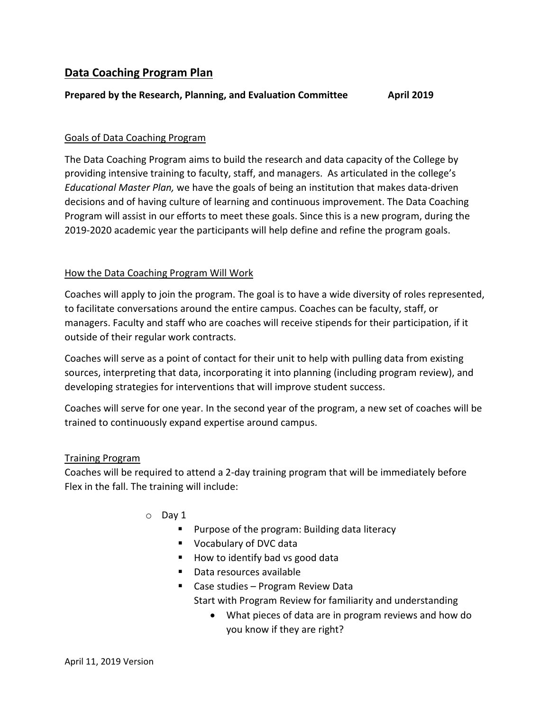## **Data Coaching Program Plan**

### **Prepared by the Research, Planning, and Evaluation Committee <b>April** 2019

### Goals of Data Coaching Program

The Data Coaching Program aims to build the research and data capacity of the College by providing intensive training to faculty, staff, and managers. As articulated in the college's *Educational Master Plan,* we have the goals of being an institution that makes data-driven decisions and of having culture of learning and continuous improvement. The Data Coaching Program will assist in our efforts to meet these goals. Since this is a new program, during the 2019-2020 academic year the participants will help define and refine the program goals.

### How the Data Coaching Program Will Work

Coaches will apply to join the program. The goal is to have a wide diversity of roles represented, to facilitate conversations around the entire campus. Coaches can be faculty, staff, or managers. Faculty and staff who are coaches will receive stipends for their participation, if it outside of their regular work contracts.

Coaches will serve as a point of contact for their unit to help with pulling data from existing sources, interpreting that data, incorporating it into planning (including program review), and developing strategies for interventions that will improve student success.

Coaches will serve for one year. In the second year of the program, a new set of coaches will be trained to continuously expand expertise around campus.

### Training Program

Coaches will be required to attend a 2-day training program that will be immediately before Flex in the fall. The training will include:

- o Day 1
	- **Purpose of the program: Building data literacy**
	- **Vocabulary of DVC data**
	- $\blacksquare$  How to identify bad vs good data
	- Data resources available
	- Case studies Program Review Data
		- Start with Program Review for familiarity and understanding
			- What pieces of data are in program reviews and how do you know if they are right?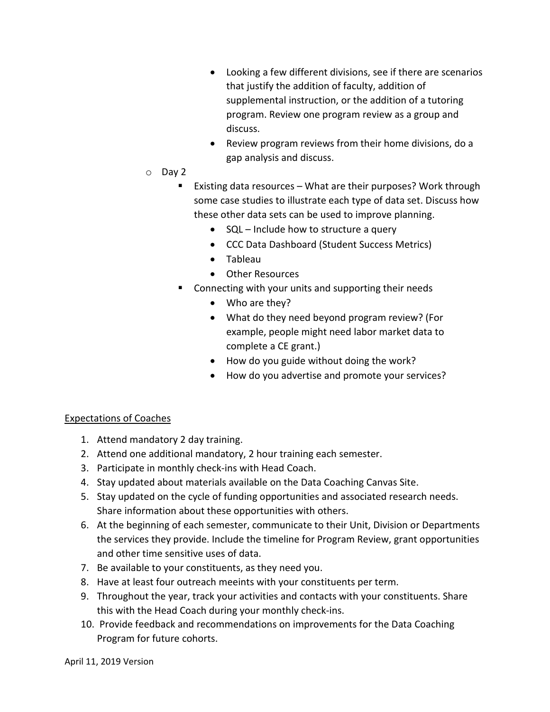- Looking a few different divisions, see if there are scenarios that justify the addition of faculty, addition of supplemental instruction, or the addition of a tutoring program. Review one program review as a group and discuss.
- Review program reviews from their home divisions, do a gap analysis and discuss.
- o Day 2
	- Existing data resources What are their purposes? Work through some case studies to illustrate each type of data set. Discuss how these other data sets can be used to improve planning.
		- SQL Include how to structure a query
		- CCC Data Dashboard (Student Success Metrics)
		- Tableau
		- Other Resources
	- **E** Connecting with your units and supporting their needs
		- Who are they?
		- What do they need beyond program review? (For example, people might need labor market data to complete a CE grant.)
		- How do you guide without doing the work?
		- How do you advertise and promote your services?

## Expectations of Coaches

- 1. Attend mandatory 2 day training.
- 2. Attend one additional mandatory, 2 hour training each semester.
- 3. Participate in monthly check-ins with Head Coach.
- 4. Stay updated about materials available on the Data Coaching Canvas Site.
- 5. Stay updated on the cycle of funding opportunities and associated research needs. Share information about these opportunities with others.
- 6. At the beginning of each semester, communicate to their Unit, Division or Departments the services they provide. Include the timeline for Program Review, grant opportunities and other time sensitive uses of data.
- 7. Be available to your constituents, as they need you.
- 8. Have at least four outreach meeints with your constituents per term.
- 9. Throughout the year, track your activities and contacts with your constituents. Share this with the Head Coach during your monthly check-ins.
- 10. Provide feedback and recommendations on improvements for the Data Coaching Program for future cohorts.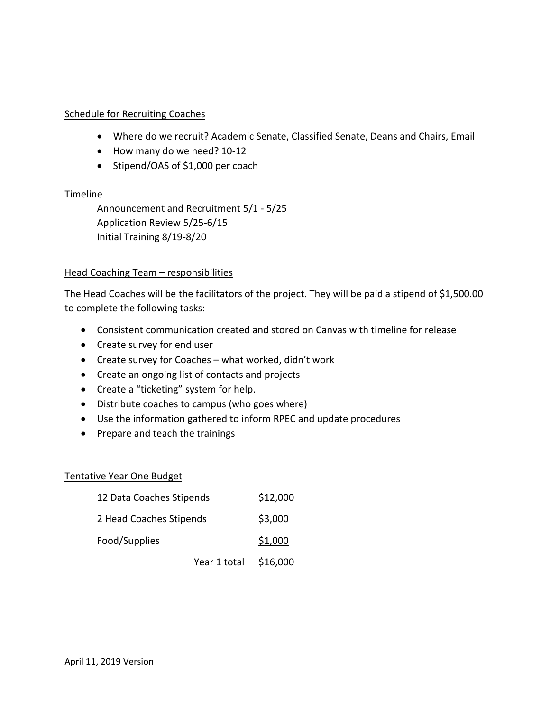# Schedule for Recruiting Coaches

- Where do we recruit? Academic Senate, Classified Senate, Deans and Chairs, Email
- How many do we need? 10-12
- Stipend/OAS of \$1,000 per coach

# **Timeline**

Announcement and Recruitment 5/1 - 5/25 Application Review 5/25-6/15 Initial Training 8/19-8/20

# Head Coaching Team – responsibilities

The Head Coaches will be the facilitators of the project. They will be paid a stipend of \$1,500.00 to complete the following tasks:

- Consistent communication created and stored on Canvas with timeline for release
- Create survey for end user
- Create survey for Coaches what worked, didn't work
- Create an ongoing list of contacts and projects
- Create a "ticketing" system for help.
- Distribute coaches to campus (who goes where)
- Use the information gathered to inform RPEC and update procedures
- Prepare and teach the trainings

# Tentative Year One Budget

| 12 Data Coaches Stipends |                       | \$12,000 |
|--------------------------|-----------------------|----------|
| 2 Head Coaches Stipends  |                       | \$3,000  |
| Food/Supplies            |                       | \$1,000  |
|                          | Year 1 total \$16,000 |          |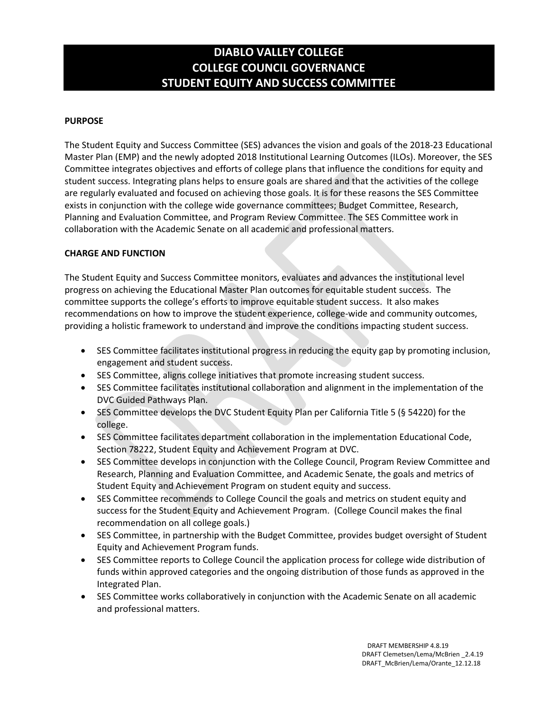# **DIABLO VALLEY COLLEGE COLLEGE COUNCIL GOVERNANCE STUDENT EQUITY AND SUCCESS COMMITTEE**

## **PURPOSE**

The Student Equity and Success Committee (SES) advances the vision and goals of the 2018-23 Educational Master Plan (EMP) and the newly adopted 2018 Institutional Learning Outcomes (ILOs). Moreover, the SES Committee integrates objectives and efforts of college plans that influence the conditions for equity and student success. Integrating plans helps to ensure goals are shared and that the activities of the college are regularly evaluated and focused on achieving those goals. It is for these reasons the SES Committee exists in conjunction with the college wide governance committees; Budget Committee, Research, Planning and Evaluation Committee, and Program Review Committee. The SES Committee work in collaboration with the Academic Senate on all academic and professional matters.

## **CHARGE AND FUNCTION**

The Student Equity and Success Committee monitors, evaluates and advances the institutional level progress on achieving the Educational Master Plan outcomes for equitable student success. The committee supports the college's efforts to improve equitable student success. It also makes recommendations on how to improve the student experience, college-wide and community outcomes, providing a holistic framework to understand and improve the conditions impacting student success.

- SES Committee facilitates institutional progress in reducing the equity gap by promoting inclusion, engagement and student success.
- SES Committee, aligns college initiatives that promote increasing student success.
- SES Committee facilitates institutional collaboration and alignment in the implementation of the DVC Guided Pathways Plan.
- SES Committee develops the DVC Student Equity Plan per California Title 5 (§ 54220) for the college.
- SES Committee facilitates department collaboration in the implementation Educational Code, Section 78222, Student Equity and Achievement Program at DVC.
- SES Committee develops in conjunction with the College Council, Program Review Committee and Research, Planning and Evaluation Committee, and Academic Senate, the goals and metrics of Student Equity and Achievement Program on student equity and success.
- SES Committee recommends to College Council the goals and metrics on student equity and success for the Student Equity and Achievement Program. (College Council makes the final recommendation on all college goals.)
- SES Committee, in partnership with the Budget Committee, provides budget oversight of Student Equity and Achievement Program funds.
- SES Committee reports to College Council the application process for college wide distribution of funds within approved categories and the ongoing distribution of those funds as approved in the Integrated Plan.
- SES Committee works collaboratively in conjunction with the Academic Senate on all academic and professional matters.